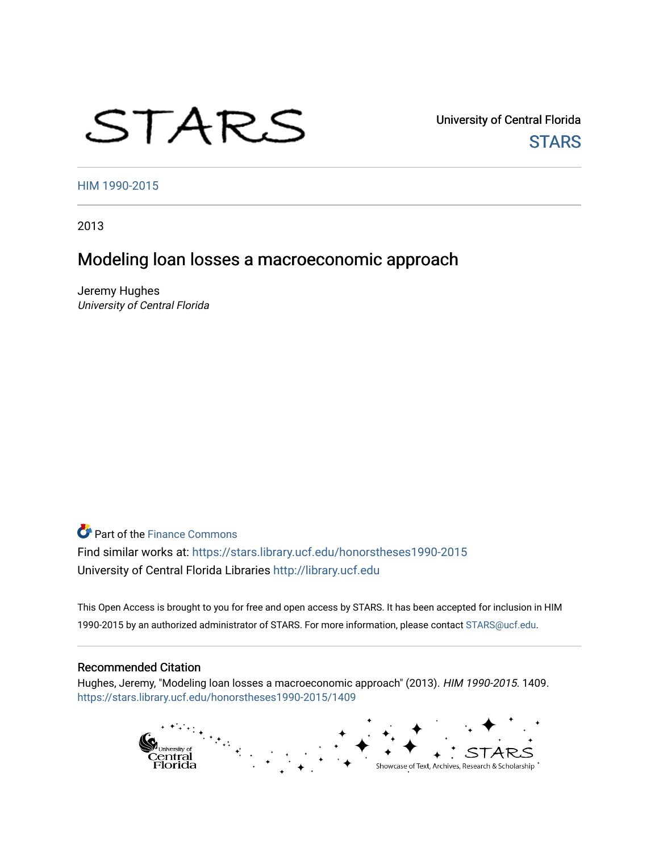# STARS

University of Central Florida **STARS** 

[HIM 1990-2015](https://stars.library.ucf.edu/honorstheses1990-2015) 

2013

# Modeling loan losses a macroeconomic approach

Jeremy Hughes University of Central Florida

**P** Part of the Finance Commons Find similar works at: <https://stars.library.ucf.edu/honorstheses1990-2015> University of Central Florida Libraries [http://library.ucf.edu](http://library.ucf.edu/) 

This Open Access is brought to you for free and open access by STARS. It has been accepted for inclusion in HIM 1990-2015 by an authorized administrator of STARS. For more information, please contact [STARS@ucf.edu](mailto:STARS@ucf.edu).

#### Recommended Citation

Hughes, Jeremy, "Modeling loan losses a macroeconomic approach" (2013). HIM 1990-2015. 1409. [https://stars.library.ucf.edu/honorstheses1990-2015/1409](https://stars.library.ucf.edu/honorstheses1990-2015/1409?utm_source=stars.library.ucf.edu%2Fhonorstheses1990-2015%2F1409&utm_medium=PDF&utm_campaign=PDFCoverPages) 

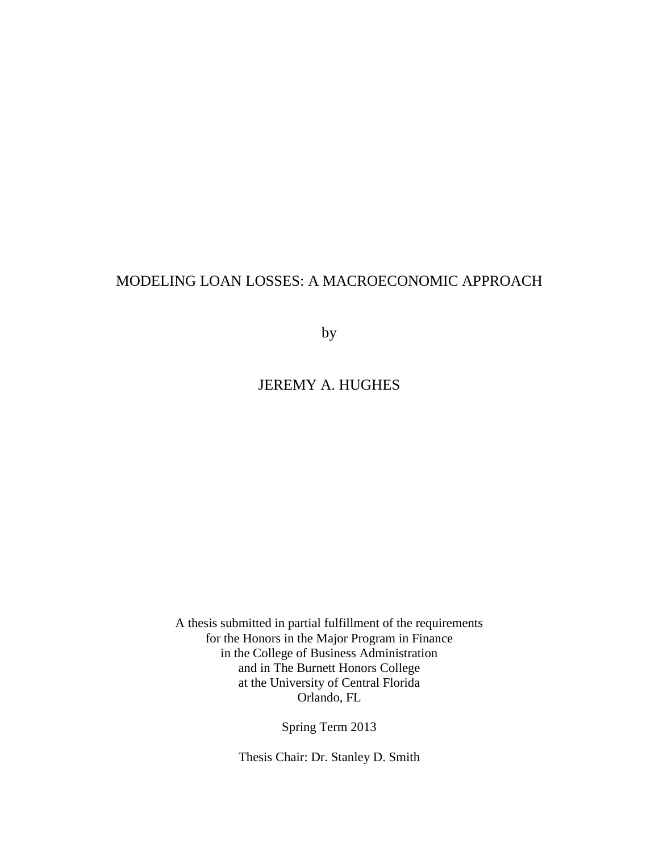# MODELING LOAN LOSSES: A MACROECONOMIC APPROACH

by

# JEREMY A. HUGHES

A thesis submitted in partial fulfillment of the requirements for the Honors in the Major Program in Finance in the College of Business Administration and in The Burnett Honors College at the University of Central Florida Orlando, FL

Spring Term 2013

Thesis Chair: Dr. Stanley D. Smith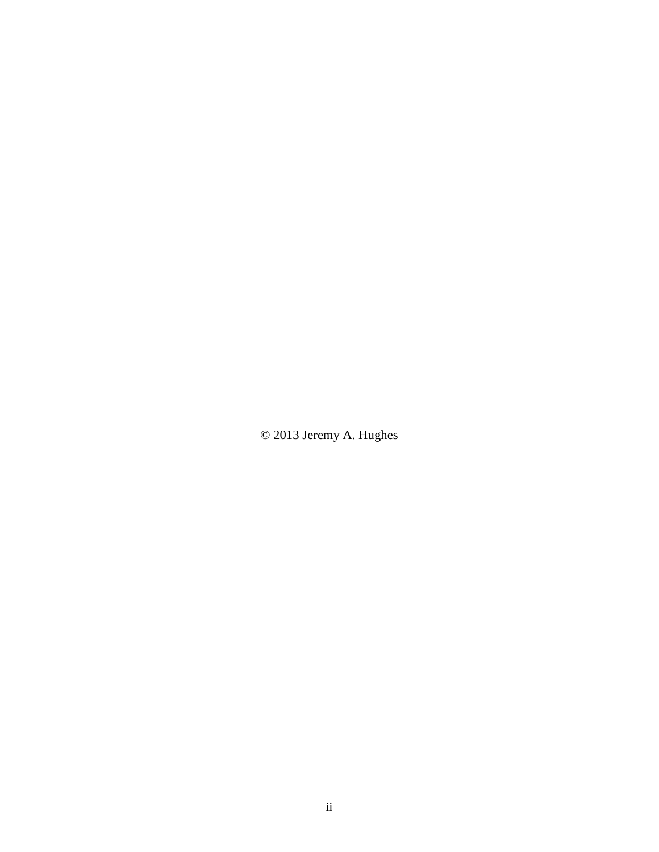© 2013 Jeremy A. Hughes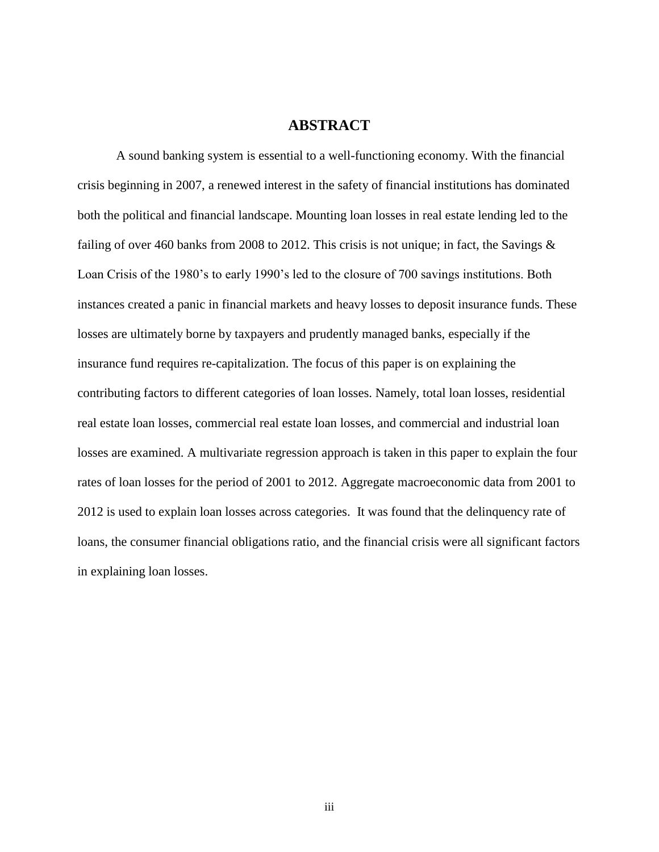## **ABSTRACT**

A sound banking system is essential to a well-functioning economy. With the financial crisis beginning in 2007, a renewed interest in the safety of financial institutions has dominated both the political and financial landscape. Mounting loan losses in real estate lending led to the failing of over 460 banks from 2008 to 2012. This crisis is not unique; in fact, the Savings & Loan Crisis of the 1980's to early 1990's led to the closure of 700 savings institutions. Both instances created a panic in financial markets and heavy losses to deposit insurance funds. These losses are ultimately borne by taxpayers and prudently managed banks, especially if the insurance fund requires re-capitalization. The focus of this paper is on explaining the contributing factors to different categories of loan losses. Namely, total loan losses, residential real estate loan losses, commercial real estate loan losses, and commercial and industrial loan losses are examined. A multivariate regression approach is taken in this paper to explain the four rates of loan losses for the period of 2001 to 2012. Aggregate macroeconomic data from 2001 to 2012 is used to explain loan losses across categories. It was found that the delinquency rate of loans, the consumer financial obligations ratio, and the financial crisis were all significant factors in explaining loan losses.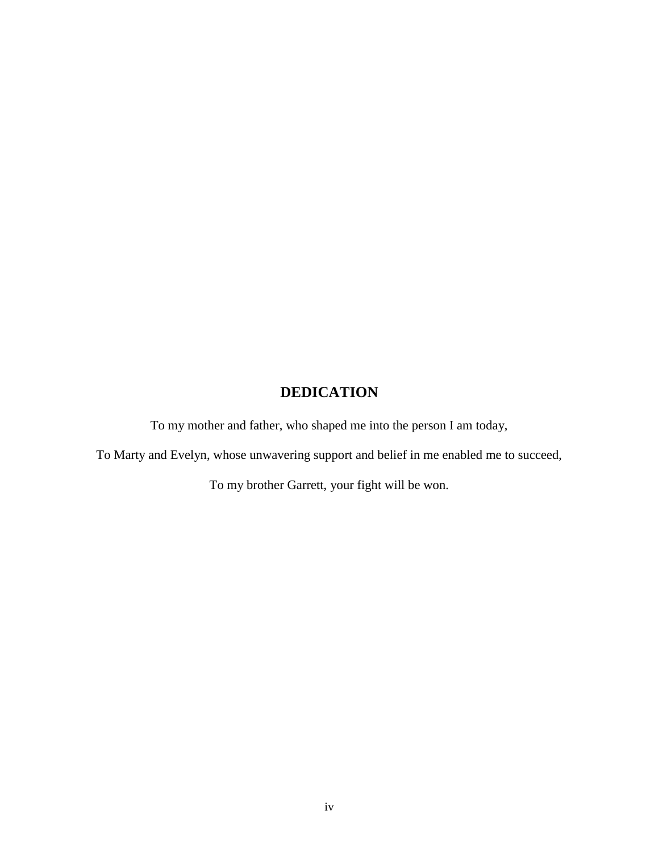# **DEDICATION**

To my mother and father, who shaped me into the person I am today,

To Marty and Evelyn, whose unwavering support and belief in me enabled me to succeed,

To my brother Garrett, your fight will be won.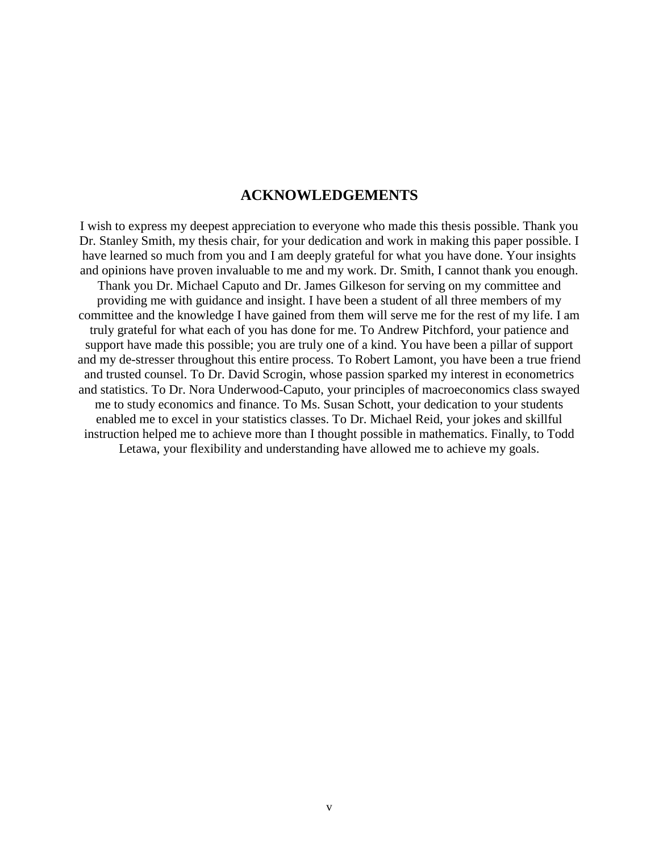# **ACKNOWLEDGEMENTS**

I wish to express my deepest appreciation to everyone who made this thesis possible. Thank you Dr. Stanley Smith, my thesis chair, for your dedication and work in making this paper possible. I have learned so much from you and I am deeply grateful for what you have done. Your insights and opinions have proven invaluable to me and my work. Dr. Smith, I cannot thank you enough. Thank you Dr. Michael Caputo and Dr. James Gilkeson for serving on my committee and providing me with guidance and insight. I have been a student of all three members of my committee and the knowledge I have gained from them will serve me for the rest of my life. I am truly grateful for what each of you has done for me. To Andrew Pitchford, your patience and support have made this possible; you are truly one of a kind. You have been a pillar of support and my de-stresser throughout this entire process. To Robert Lamont, you have been a true friend and trusted counsel. To Dr. David Scrogin, whose passion sparked my interest in econometrics and statistics. To Dr. Nora Underwood-Caputo, your principles of macroeconomics class swayed me to study economics and finance. To Ms. Susan Schott, your dedication to your students enabled me to excel in your statistics classes. To Dr. Michael Reid, your jokes and skillful instruction helped me to achieve more than I thought possible in mathematics. Finally, to Todd Letawa, your flexibility and understanding have allowed me to achieve my goals.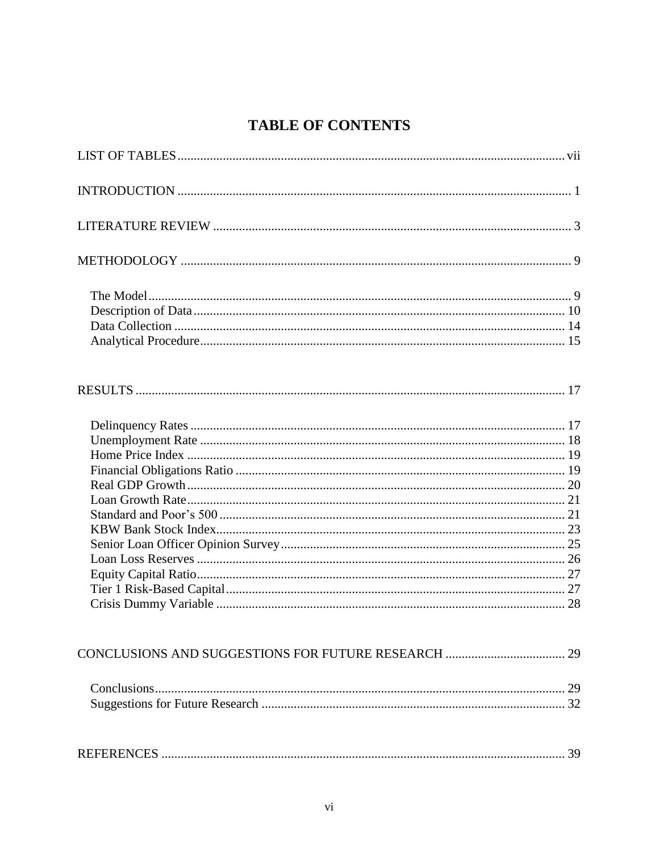# **TABLE OF CONTENTS**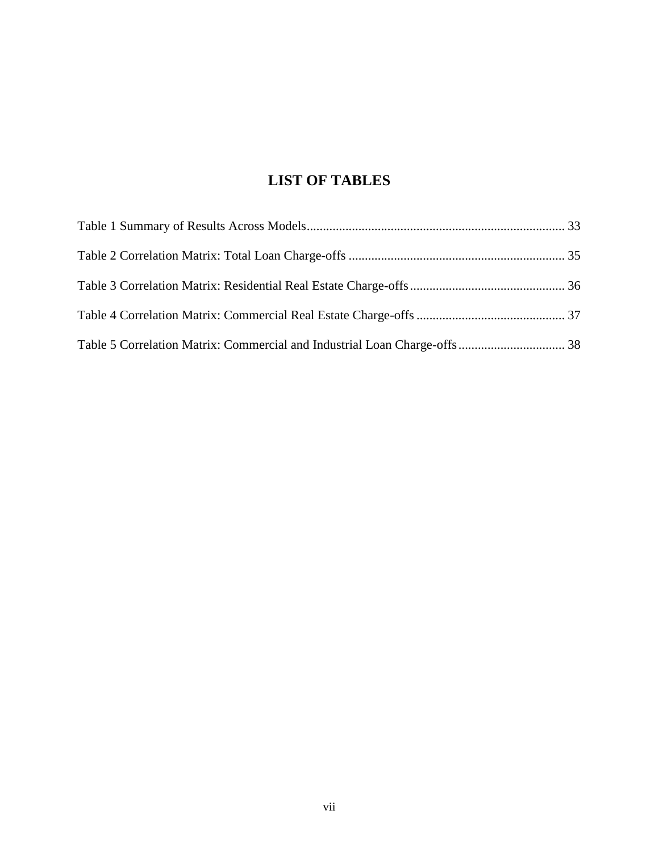# **LIST OF TABLES**

<span id="page-7-0"></span>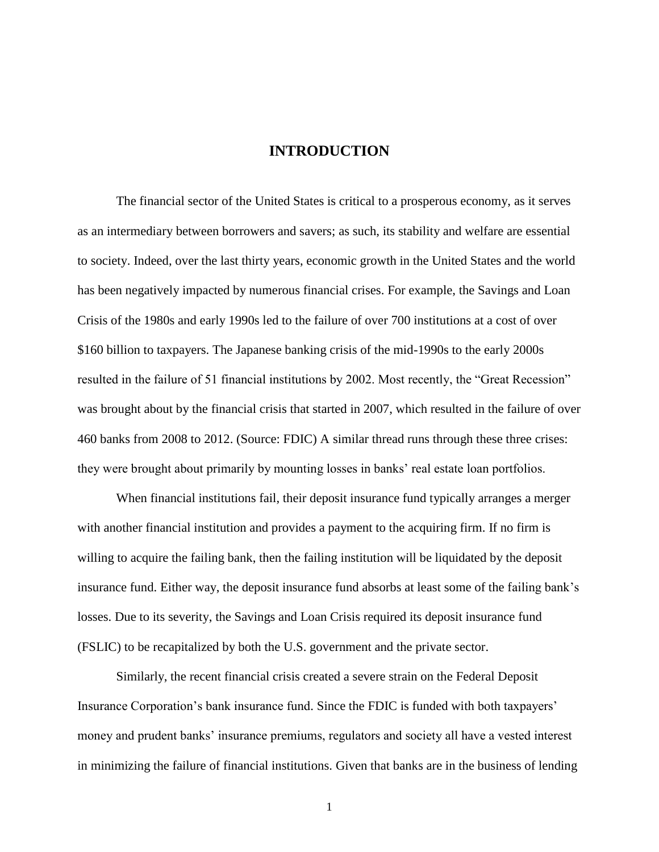# **INTRODUCTION**

<span id="page-8-0"></span>The financial sector of the United States is critical to a prosperous economy, as it serves as an intermediary between borrowers and savers; as such, its stability and welfare are essential to society. Indeed, over the last thirty years, economic growth in the United States and the world has been negatively impacted by numerous financial crises. For example, the Savings and Loan Crisis of the 1980s and early 1990s led to the failure of over 700 institutions at a cost of over \$160 billion to taxpayers. The Japanese banking crisis of the mid-1990s to the early 2000s resulted in the failure of 51 financial institutions by 2002. Most recently, the "Great Recession" was brought about by the financial crisis that started in 2007, which resulted in the failure of over 460 banks from 2008 to 2012. (Source: FDIC) A similar thread runs through these three crises: they were brought about primarily by mounting losses in banks' real estate loan portfolios.

When financial institutions fail, their deposit insurance fund typically arranges a merger with another financial institution and provides a payment to the acquiring firm. If no firm is willing to acquire the failing bank, then the failing institution will be liquidated by the deposit insurance fund. Either way, the deposit insurance fund absorbs at least some of the failing bank's losses. Due to its severity, the Savings and Loan Crisis required its deposit insurance fund (FSLIC) to be recapitalized by both the U.S. government and the private sector.

Similarly, the recent financial crisis created a severe strain on the Federal Deposit Insurance Corporation's bank insurance fund. Since the FDIC is funded with both taxpayers' money and prudent banks' insurance premiums, regulators and society all have a vested interest in minimizing the failure of financial institutions. Given that banks are in the business of lending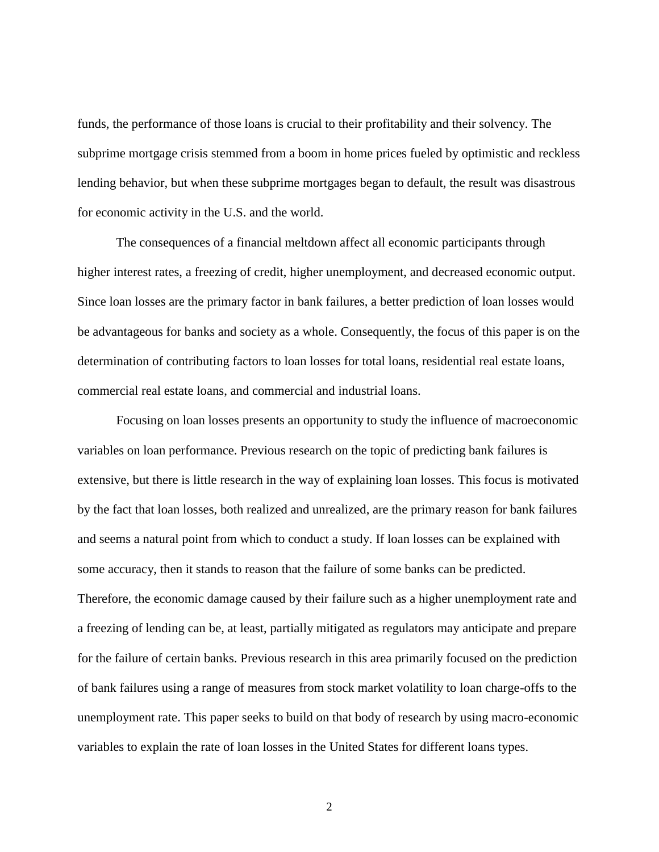funds, the performance of those loans is crucial to their profitability and their solvency. The subprime mortgage crisis stemmed from a boom in home prices fueled by optimistic and reckless lending behavior, but when these subprime mortgages began to default, the result was disastrous for economic activity in the U.S. and the world.

The consequences of a financial meltdown affect all economic participants through higher interest rates, a freezing of credit, higher unemployment, and decreased economic output. Since loan losses are the primary factor in bank failures, a better prediction of loan losses would be advantageous for banks and society as a whole. Consequently, the focus of this paper is on the determination of contributing factors to loan losses for total loans, residential real estate loans, commercial real estate loans, and commercial and industrial loans.

Focusing on loan losses presents an opportunity to study the influence of macroeconomic variables on loan performance. Previous research on the topic of predicting bank failures is extensive, but there is little research in the way of explaining loan losses. This focus is motivated by the fact that loan losses, both realized and unrealized, are the primary reason for bank failures and seems a natural point from which to conduct a study. If loan losses can be explained with some accuracy, then it stands to reason that the failure of some banks can be predicted. Therefore, the economic damage caused by their failure such as a higher unemployment rate and a freezing of lending can be, at least, partially mitigated as regulators may anticipate and prepare for the failure of certain banks. Previous research in this area primarily focused on the prediction of bank failures using a range of measures from stock market volatility to loan charge-offs to the unemployment rate. This paper seeks to build on that body of research by using macro-economic variables to explain the rate of loan losses in the United States for different loans types.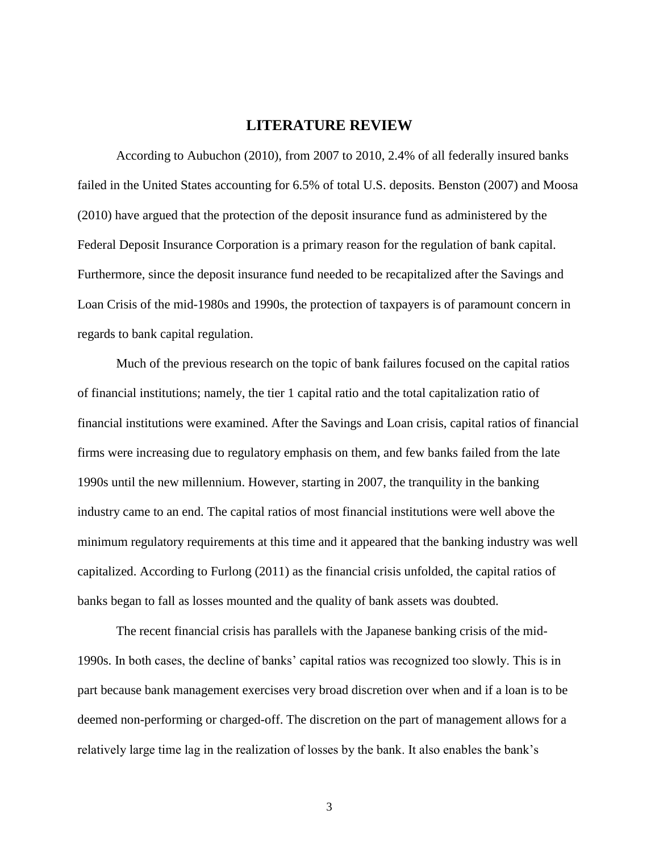## **LITERATURE REVIEW**

<span id="page-10-0"></span>According to Aubuchon (2010), from 2007 to 2010, 2.4% of all federally insured banks failed in the United States accounting for 6.5% of total U.S. deposits. Benston (2007) and Moosa (2010) have argued that the protection of the deposit insurance fund as administered by the Federal Deposit Insurance Corporation is a primary reason for the regulation of bank capital. Furthermore, since the deposit insurance fund needed to be recapitalized after the Savings and Loan Crisis of the mid-1980s and 1990s, the protection of taxpayers is of paramount concern in regards to bank capital regulation.

Much of the previous research on the topic of bank failures focused on the capital ratios of financial institutions; namely, the tier 1 capital ratio and the total capitalization ratio of financial institutions were examined. After the Savings and Loan crisis, capital ratios of financial firms were increasing due to regulatory emphasis on them, and few banks failed from the late 1990s until the new millennium. However, starting in 2007, the tranquility in the banking industry came to an end. The capital ratios of most financial institutions were well above the minimum regulatory requirements at this time and it appeared that the banking industry was well capitalized. According to Furlong (2011) as the financial crisis unfolded, the capital ratios of banks began to fall as losses mounted and the quality of bank assets was doubted.

The recent financial crisis has parallels with the Japanese banking crisis of the mid-1990s. In both cases, the decline of banks' capital ratios was recognized too slowly. This is in part because bank management exercises very broad discretion over when and if a loan is to be deemed non-performing or charged-off. The discretion on the part of management allows for a relatively large time lag in the realization of losses by the bank. It also enables the bank's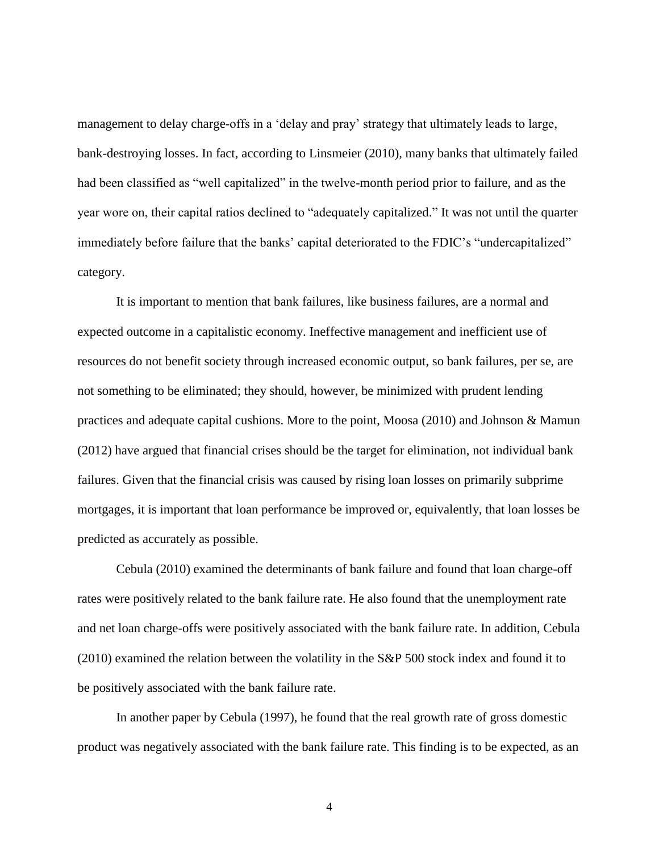management to delay charge-offs in a 'delay and pray' strategy that ultimately leads to large, bank-destroying losses. In fact, according to Linsmeier (2010), many banks that ultimately failed had been classified as "well capitalized" in the twelve-month period prior to failure, and as the year wore on, their capital ratios declined to "adequately capitalized." It was not until the quarter immediately before failure that the banks' capital deteriorated to the FDIC's "undercapitalized" category.

It is important to mention that bank failures, like business failures, are a normal and expected outcome in a capitalistic economy. Ineffective management and inefficient use of resources do not benefit society through increased economic output, so bank failures, per se, are not something to be eliminated; they should, however, be minimized with prudent lending practices and adequate capital cushions. More to the point, Moosa (2010) and Johnson & Mamun (2012) have argued that financial crises should be the target for elimination, not individual bank failures. Given that the financial crisis was caused by rising loan losses on primarily subprime mortgages, it is important that loan performance be improved or, equivalently, that loan losses be predicted as accurately as possible.

Cebula (2010) examined the determinants of bank failure and found that loan charge-off rates were positively related to the bank failure rate. He also found that the unemployment rate and net loan charge-offs were positively associated with the bank failure rate. In addition, Cebula (2010) examined the relation between the volatility in the S&P 500 stock index and found it to be positively associated with the bank failure rate.

In another paper by Cebula (1997), he found that the real growth rate of gross domestic product was negatively associated with the bank failure rate. This finding is to be expected, as an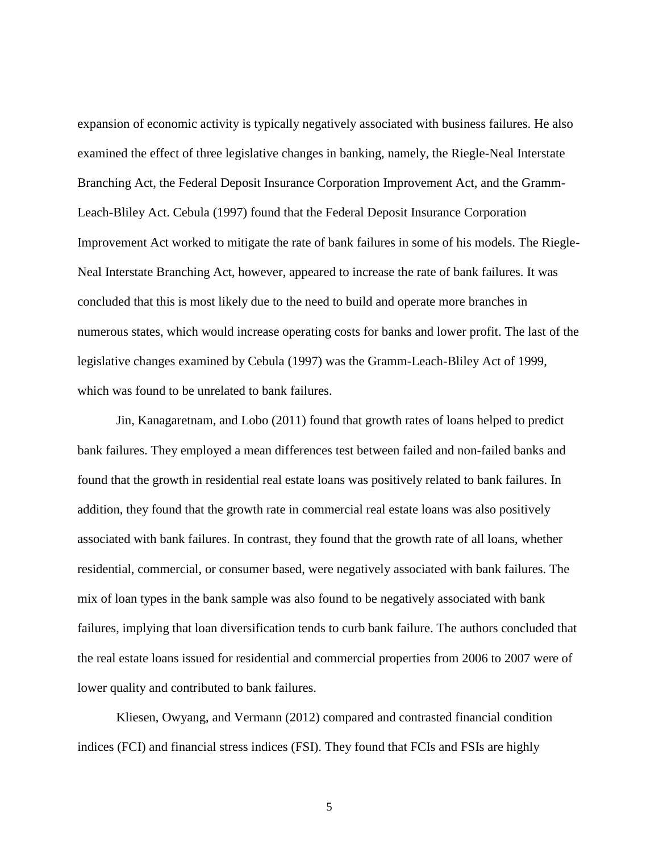expansion of economic activity is typically negatively associated with business failures. He also examined the effect of three legislative changes in banking, namely, the Riegle-Neal Interstate Branching Act, the Federal Deposit Insurance Corporation Improvement Act, and the Gramm-Leach-Bliley Act. Cebula (1997) found that the Federal Deposit Insurance Corporation Improvement Act worked to mitigate the rate of bank failures in some of his models. The Riegle-Neal Interstate Branching Act, however, appeared to increase the rate of bank failures. It was concluded that this is most likely due to the need to build and operate more branches in numerous states, which would increase operating costs for banks and lower profit. The last of the legislative changes examined by Cebula (1997) was the Gramm-Leach-Bliley Act of 1999, which was found to be unrelated to bank failures.

Jin, Kanagaretnam, and Lobo (2011) found that growth rates of loans helped to predict bank failures. They employed a mean differences test between failed and non-failed banks and found that the growth in residential real estate loans was positively related to bank failures. In addition, they found that the growth rate in commercial real estate loans was also positively associated with bank failures. In contrast, they found that the growth rate of all loans, whether residential, commercial, or consumer based, were negatively associated with bank failures. The mix of loan types in the bank sample was also found to be negatively associated with bank failures, implying that loan diversification tends to curb bank failure. The authors concluded that the real estate loans issued for residential and commercial properties from 2006 to 2007 were of lower quality and contributed to bank failures.

Kliesen, Owyang, and Vermann (2012) compared and contrasted financial condition indices (FCI) and financial stress indices (FSI). They found that FCIs and FSIs are highly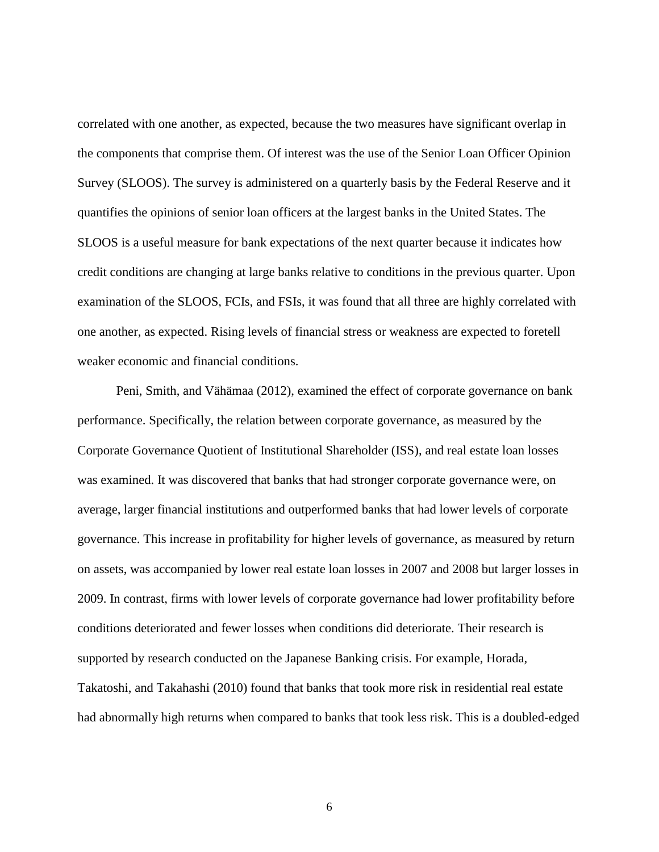correlated with one another, as expected, because the two measures have significant overlap in the components that comprise them. Of interest was the use of the Senior Loan Officer Opinion Survey (SLOOS). The survey is administered on a quarterly basis by the Federal Reserve and it quantifies the opinions of senior loan officers at the largest banks in the United States. The SLOOS is a useful measure for bank expectations of the next quarter because it indicates how credit conditions are changing at large banks relative to conditions in the previous quarter. Upon examination of the SLOOS, FCIs, and FSIs, it was found that all three are highly correlated with one another, as expected. Rising levels of financial stress or weakness are expected to foretell weaker economic and financial conditions.

Peni, Smith, and Vähämaa (2012), examined the effect of corporate governance on bank performance. Specifically, the relation between corporate governance, as measured by the Corporate Governance Quotient of Institutional Shareholder (ISS), and real estate loan losses was examined. It was discovered that banks that had stronger corporate governance were, on average, larger financial institutions and outperformed banks that had lower levels of corporate governance. This increase in profitability for higher levels of governance, as measured by return on assets, was accompanied by lower real estate loan losses in 2007 and 2008 but larger losses in 2009. In contrast, firms with lower levels of corporate governance had lower profitability before conditions deteriorated and fewer losses when conditions did deteriorate. Their research is supported by research conducted on the Japanese Banking crisis. For example, Horada, Takatoshi, and Takahashi (2010) found that banks that took more risk in residential real estate had abnormally high returns when compared to banks that took less risk. This is a doubled-edged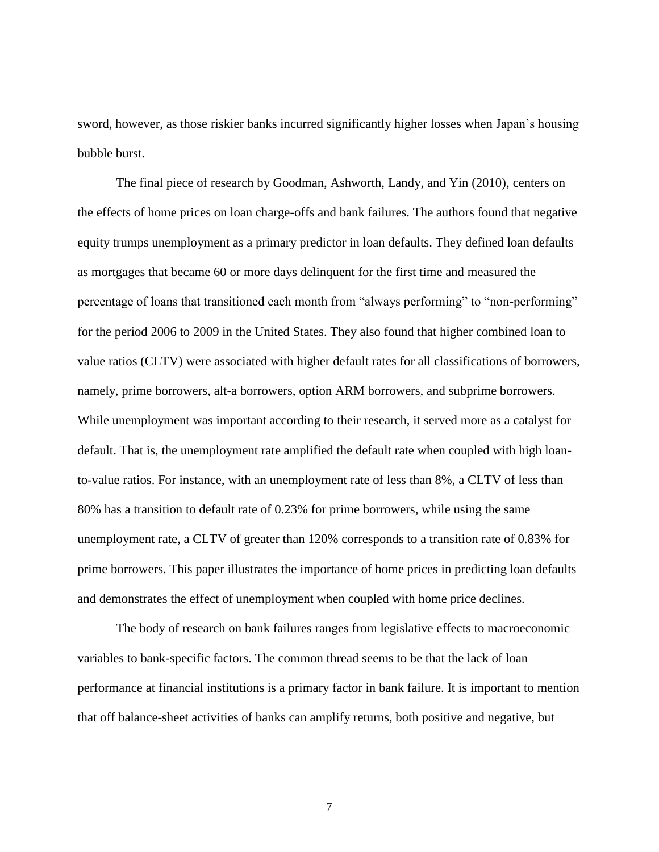sword, however, as those riskier banks incurred significantly higher losses when Japan's housing bubble burst.

The final piece of research by Goodman, Ashworth, Landy, and Yin (2010), centers on the effects of home prices on loan charge-offs and bank failures. The authors found that negative equity trumps unemployment as a primary predictor in loan defaults. They defined loan defaults as mortgages that became 60 or more days delinquent for the first time and measured the percentage of loans that transitioned each month from "always performing" to "non-performing" for the period 2006 to 2009 in the United States. They also found that higher combined loan to value ratios (CLTV) were associated with higher default rates for all classifications of borrowers, namely, prime borrowers, alt-a borrowers, option ARM borrowers, and subprime borrowers. While unemployment was important according to their research, it served more as a catalyst for default. That is, the unemployment rate amplified the default rate when coupled with high loanto-value ratios. For instance, with an unemployment rate of less than 8%, a CLTV of less than 80% has a transition to default rate of 0.23% for prime borrowers, while using the same unemployment rate, a CLTV of greater than 120% corresponds to a transition rate of 0.83% for prime borrowers. This paper illustrates the importance of home prices in predicting loan defaults and demonstrates the effect of unemployment when coupled with home price declines.

The body of research on bank failures ranges from legislative effects to macroeconomic variables to bank-specific factors. The common thread seems to be that the lack of loan performance at financial institutions is a primary factor in bank failure. It is important to mention that off balance-sheet activities of banks can amplify returns, both positive and negative, but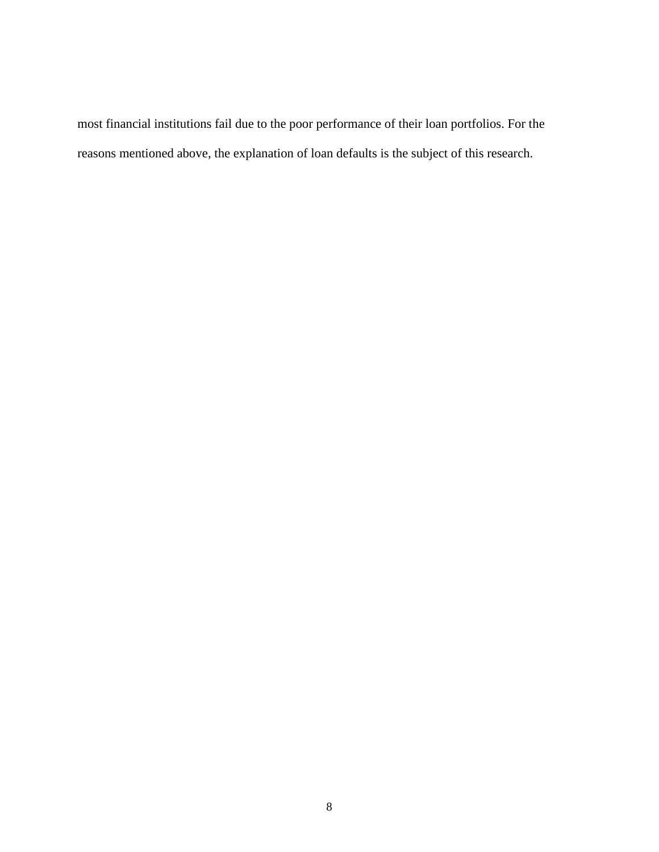most financial institutions fail due to the poor performance of their loan portfolios. For the reasons mentioned above, the explanation of loan defaults is the subject of this research.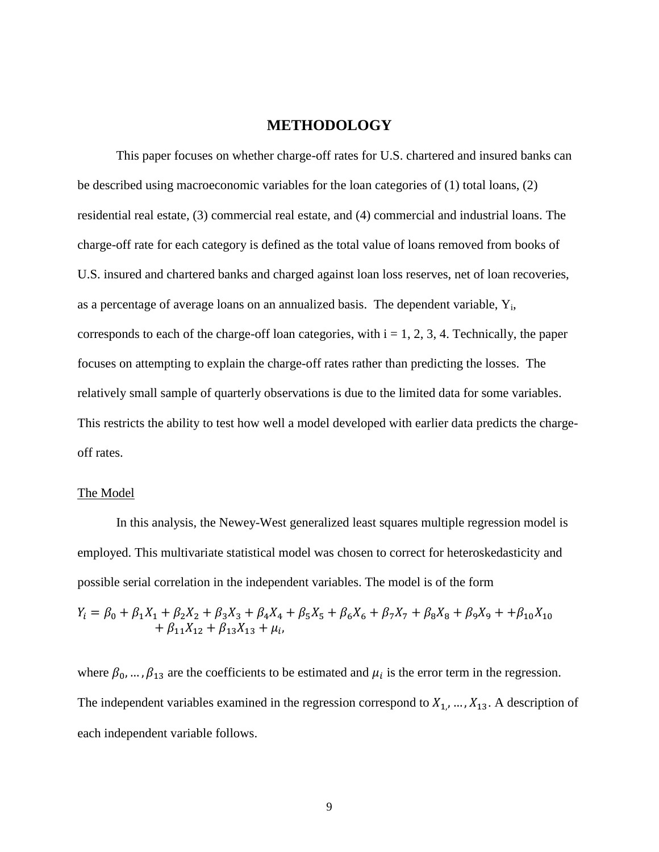## **METHODOLOGY**

<span id="page-16-0"></span>This paper focuses on whether charge-off rates for U.S. chartered and insured banks can be described using macroeconomic variables for the loan categories of (1) total loans, (2) residential real estate, (3) commercial real estate, and (4) commercial and industrial loans. The charge-off rate for each category is defined as the total value of loans removed from books of U.S. insured and chartered banks and charged against loan loss reserves, net of loan recoveries, as a percentage of average loans on an annualized basis. The dependent variable,  $Y_i$ , corresponds to each of the charge-off loan categories, with  $i = 1, 2, 3, 4$ . Technically, the paper focuses on attempting to explain the charge-off rates rather than predicting the losses. The relatively small sample of quarterly observations is due to the limited data for some variables. This restricts the ability to test how well a model developed with earlier data predicts the chargeoff rates.

#### <span id="page-16-1"></span>The Model

In this analysis, the Newey-West generalized least squares multiple regression model is employed. This multivariate statistical model was chosen to correct for heteroskedasticity and possible serial correlation in the independent variables. The model is of the form

$$
Y_i = \beta_0 + \beta_1 X_1 + \beta_2 X_2 + \beta_3 X_3 + \beta_4 X_4 + \beta_5 X_5 + \beta_6 X_6 + \beta_7 X_7 + \beta_8 X_8 + \beta_9 X_9 + \beta_{10} X_{10} + \beta_{11} X_{12} + \beta_{13} X_{13} + \mu_i,
$$

where  $\beta_0$ , ...,  $\beta_{13}$  are the coefficients to be estimated and  $\mu_i$  is the error term in the regression. The independent variables examined in the regression correspond to  $X_1, ..., X_{13}$ . A description of each independent variable follows.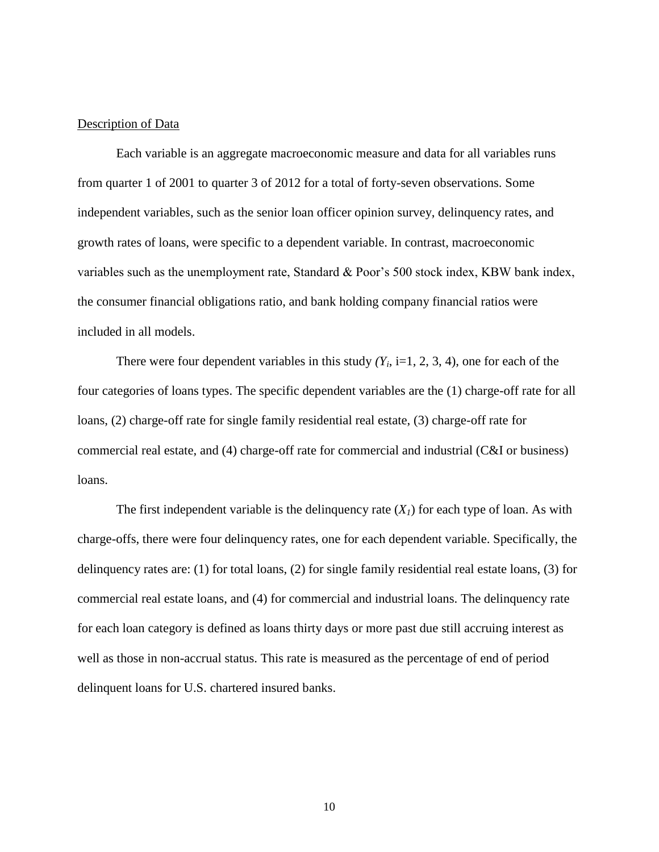#### <span id="page-17-0"></span>Description of Data

Each variable is an aggregate macroeconomic measure and data for all variables runs from quarter 1 of 2001 to quarter 3 of 2012 for a total of forty-seven observations. Some independent variables, such as the senior loan officer opinion survey, delinquency rates, and growth rates of loans, were specific to a dependent variable. In contrast, macroeconomic variables such as the unemployment rate, Standard & Poor's 500 stock index, KBW bank index, the consumer financial obligations ratio, and bank holding company financial ratios were included in all models.

There were four dependent variables in this study  $(Y_i, i=1, 2, 3, 4)$ , one for each of the four categories of loans types. The specific dependent variables are the (1) charge-off rate for all loans, (2) charge-off rate for single family residential real estate, (3) charge-off rate for commercial real estate, and (4) charge-off rate for commercial and industrial (C&I or business) loans.

The first independent variable is the delinquency rate  $(X<sub>1</sub>)$  for each type of loan. As with charge-offs, there were four delinquency rates, one for each dependent variable. Specifically, the delinquency rates are: (1) for total loans, (2) for single family residential real estate loans, (3) for commercial real estate loans, and (4) for commercial and industrial loans. The delinquency rate for each loan category is defined as loans thirty days or more past due still accruing interest as well as those in non-accrual status. This rate is measured as the percentage of end of period delinquent loans for U.S. chartered insured banks.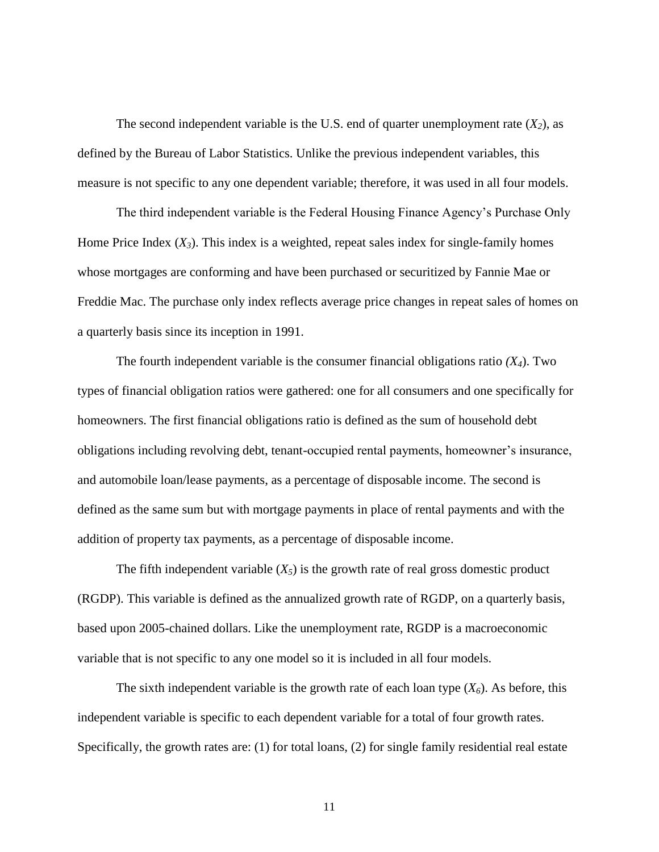The second independent variable is the U.S. end of quarter unemployment rate  $(X_2)$ , as defined by the Bureau of Labor Statistics. Unlike the previous independent variables, this measure is not specific to any one dependent variable; therefore, it was used in all four models.

The third independent variable is the Federal Housing Finance Agency's Purchase Only Home Price Index  $(X_3)$ . This index is a weighted, repeat sales index for single-family homes whose mortgages are conforming and have been purchased or securitized by Fannie Mae or Freddie Mac. The purchase only index reflects average price changes in repeat sales of homes on a quarterly basis since its inception in 1991.

The fourth independent variable is the consumer financial obligations ratio *(X4*). Two types of financial obligation ratios were gathered: one for all consumers and one specifically for homeowners. The first financial obligations ratio is defined as the sum of household debt obligations including revolving debt, tenant-occupied rental payments, homeowner's insurance, and automobile loan/lease payments, as a percentage of disposable income. The second is defined as the same sum but with mortgage payments in place of rental payments and with the addition of property tax payments, as a percentage of disposable income.

The fifth independent variable  $(X_5)$  is the growth rate of real gross domestic product (RGDP). This variable is defined as the annualized growth rate of RGDP, on a quarterly basis, based upon 2005-chained dollars. Like the unemployment rate, RGDP is a macroeconomic variable that is not specific to any one model so it is included in all four models.

The sixth independent variable is the growth rate of each loan type  $(X_6)$ . As before, this independent variable is specific to each dependent variable for a total of four growth rates. Specifically, the growth rates are: (1) for total loans, (2) for single family residential real estate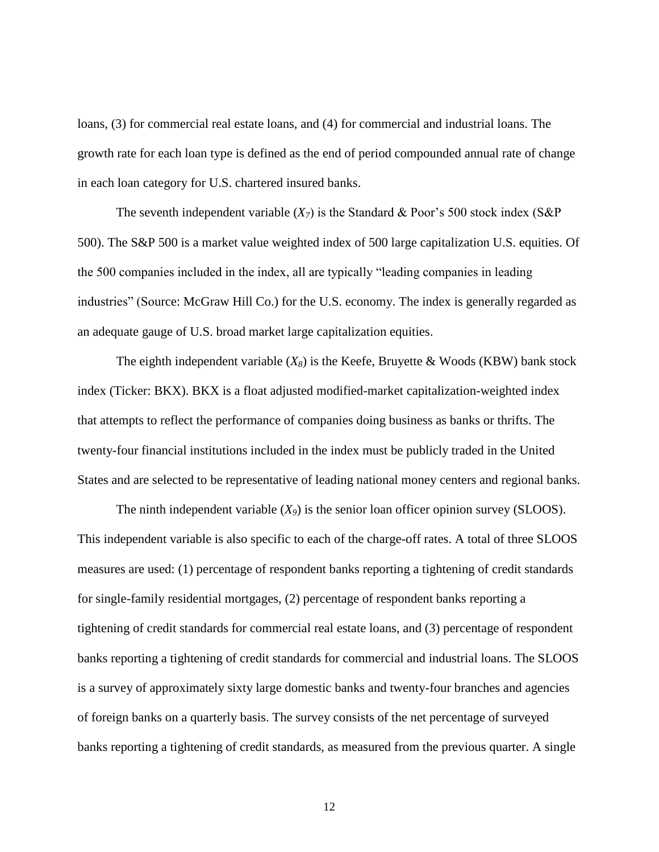loans, (3) for commercial real estate loans, and (4) for commercial and industrial loans. The growth rate for each loan type is defined as the end of period compounded annual rate of change in each loan category for U.S. chartered insured banks.

The seventh independent variable  $(X_7)$  is the Standard & Poor's 500 stock index (S&P) 500). The S&P 500 is a market value weighted index of 500 large capitalization U.S. equities. Of the 500 companies included in the index, all are typically "leading companies in leading industries" (Source: McGraw Hill Co.) for the U.S. economy. The index is generally regarded as an adequate gauge of U.S. broad market large capitalization equities.

The eighth independent variable  $(X_8)$  is the Keefe, Bruyette & Woods (KBW) bank stock index (Ticker: BKX). BKX is a float adjusted modified-market capitalization-weighted index that attempts to reflect the performance of companies doing business as banks or thrifts. The twenty-four financial institutions included in the index must be publicly traded in the United States and are selected to be representative of leading national money centers and regional banks.

The ninth independent variable  $(X_9)$  is the senior loan officer opinion survey (SLOOS). This independent variable is also specific to each of the charge-off rates. A total of three SLOOS measures are used: (1) percentage of respondent banks reporting a tightening of credit standards for single-family residential mortgages, (2) percentage of respondent banks reporting a tightening of credit standards for commercial real estate loans, and (3) percentage of respondent banks reporting a tightening of credit standards for commercial and industrial loans. The SLOOS is a survey of approximately sixty large domestic banks and twenty-four branches and agencies of foreign banks on a quarterly basis. The survey consists of the net percentage of surveyed banks reporting a tightening of credit standards, as measured from the previous quarter. A single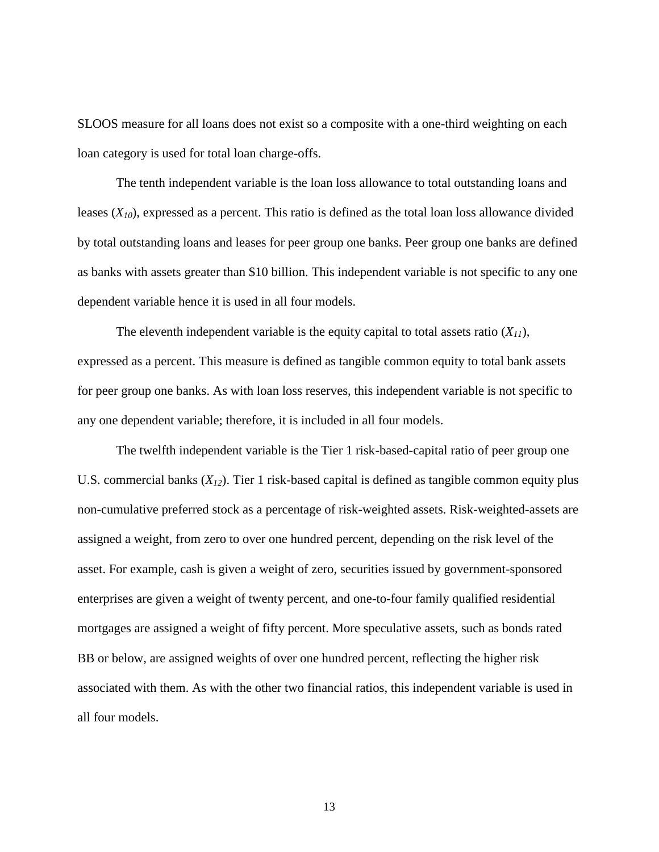SLOOS measure for all loans does not exist so a composite with a one-third weighting on each loan category is used for total loan charge-offs.

The tenth independent variable is the loan loss allowance to total outstanding loans and leases  $(X_{10})$ , expressed as a percent. This ratio is defined as the total loan loss allowance divided by total outstanding loans and leases for peer group one banks. Peer group one banks are defined as banks with assets greater than \$10 billion. This independent variable is not specific to any one dependent variable hence it is used in all four models.

The eleventh independent variable is the equity capital to total assets ratio  $(X_{11})$ , expressed as a percent. This measure is defined as tangible common equity to total bank assets for peer group one banks. As with loan loss reserves, this independent variable is not specific to any one dependent variable; therefore, it is included in all four models.

The twelfth independent variable is the Tier 1 risk-based-capital ratio of peer group one U.S. commercial banks  $(X_{12})$ . Tier 1 risk-based capital is defined as tangible common equity plus non-cumulative preferred stock as a percentage of risk-weighted assets. Risk-weighted-assets are assigned a weight, from zero to over one hundred percent, depending on the risk level of the asset. For example, cash is given a weight of zero, securities issued by government-sponsored enterprises are given a weight of twenty percent, and one-to-four family qualified residential mortgages are assigned a weight of fifty percent. More speculative assets, such as bonds rated BB or below, are assigned weights of over one hundred percent, reflecting the higher risk associated with them. As with the other two financial ratios, this independent variable is used in all four models.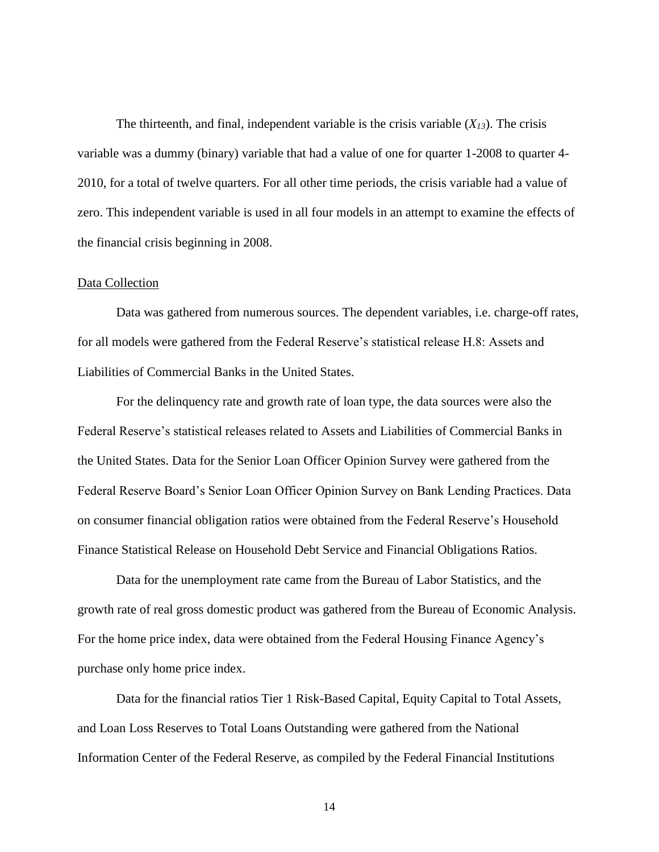The thirteenth, and final, independent variable is the crisis variable  $(X_{13})$ . The crisis variable was a dummy (binary) variable that had a value of one for quarter 1-2008 to quarter 4- 2010, for a total of twelve quarters. For all other time periods, the crisis variable had a value of zero. This independent variable is used in all four models in an attempt to examine the effects of the financial crisis beginning in 2008.

#### <span id="page-21-0"></span>Data Collection

Data was gathered from numerous sources. The dependent variables, i.e. charge-off rates, for all models were gathered from the Federal Reserve's statistical release H.8: Assets and Liabilities of Commercial Banks in the United States.

For the delinquency rate and growth rate of loan type, the data sources were also the Federal Reserve's statistical releases related to Assets and Liabilities of Commercial Banks in the United States. Data for the Senior Loan Officer Opinion Survey were gathered from the Federal Reserve Board's Senior Loan Officer Opinion Survey on Bank Lending Practices. Data on consumer financial obligation ratios were obtained from the Federal Reserve's Household Finance Statistical Release on Household Debt Service and Financial Obligations Ratios.

Data for the unemployment rate came from the Bureau of Labor Statistics, and the growth rate of real gross domestic product was gathered from the Bureau of Economic Analysis. For the home price index, data were obtained from the Federal Housing Finance Agency's purchase only home price index.

Data for the financial ratios Tier 1 Risk-Based Capital, Equity Capital to Total Assets, and Loan Loss Reserves to Total Loans Outstanding were gathered from the National Information Center of the Federal Reserve, as compiled by the Federal Financial Institutions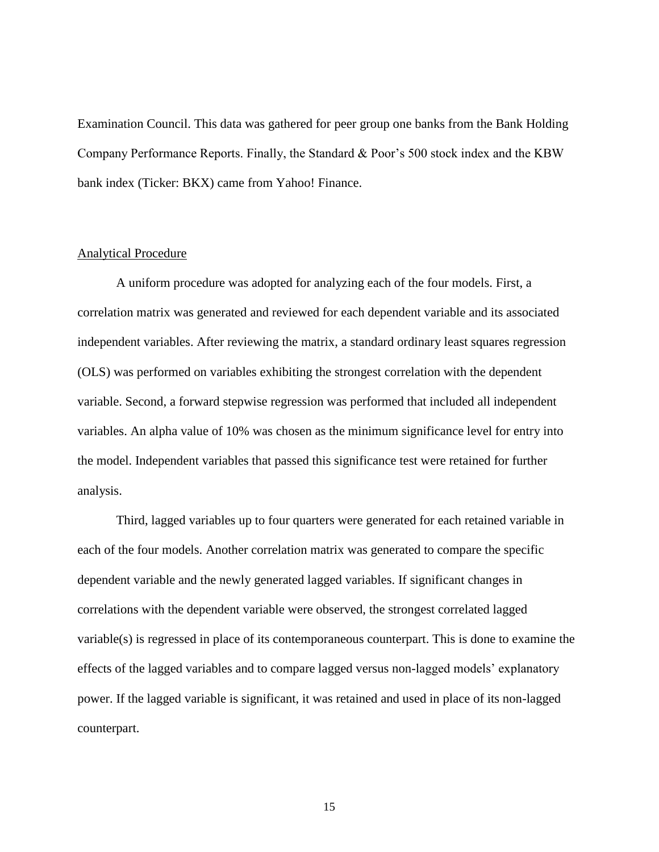Examination Council. This data was gathered for peer group one banks from the Bank Holding Company Performance Reports. Finally, the Standard & Poor's 500 stock index and the KBW bank index (Ticker: BKX) came from Yahoo! Finance.

#### <span id="page-22-0"></span>Analytical Procedure

A uniform procedure was adopted for analyzing each of the four models. First, a correlation matrix was generated and reviewed for each dependent variable and its associated independent variables. After reviewing the matrix, a standard ordinary least squares regression (OLS) was performed on variables exhibiting the strongest correlation with the dependent variable. Second, a forward stepwise regression was performed that included all independent variables. An alpha value of 10% was chosen as the minimum significance level for entry into the model. Independent variables that passed this significance test were retained for further analysis.

Third, lagged variables up to four quarters were generated for each retained variable in each of the four models. Another correlation matrix was generated to compare the specific dependent variable and the newly generated lagged variables. If significant changes in correlations with the dependent variable were observed, the strongest correlated lagged variable(s) is regressed in place of its contemporaneous counterpart. This is done to examine the effects of the lagged variables and to compare lagged versus non-lagged models' explanatory power. If the lagged variable is significant, it was retained and used in place of its non-lagged counterpart.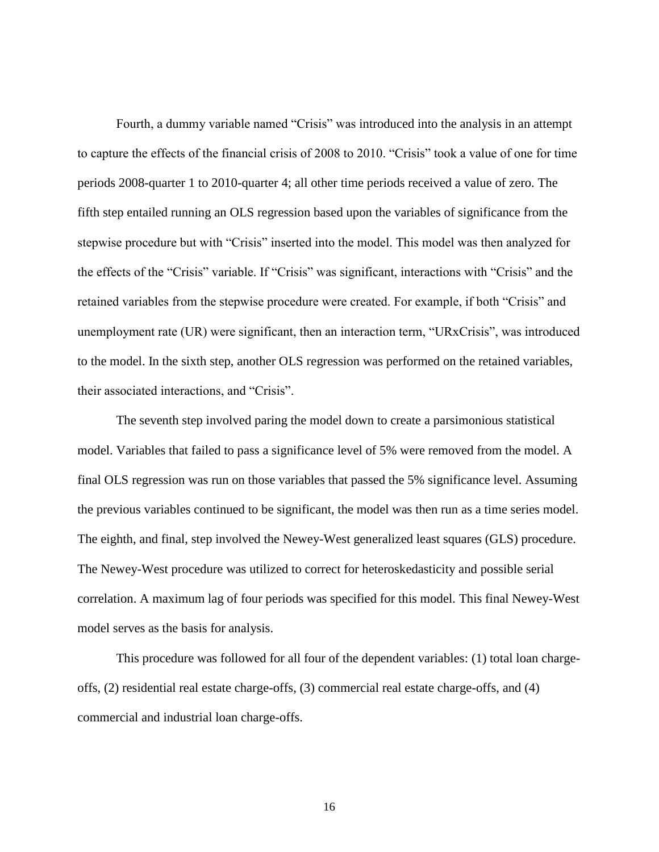Fourth, a dummy variable named "Crisis" was introduced into the analysis in an attempt to capture the effects of the financial crisis of 2008 to 2010. "Crisis" took a value of one for time periods 2008-quarter 1 to 2010-quarter 4; all other time periods received a value of zero. The fifth step entailed running an OLS regression based upon the variables of significance from the stepwise procedure but with "Crisis" inserted into the model. This model was then analyzed for the effects of the "Crisis" variable. If "Crisis" was significant, interactions with "Crisis" and the retained variables from the stepwise procedure were created. For example, if both "Crisis" and unemployment rate (UR) were significant, then an interaction term, "URxCrisis", was introduced to the model. In the sixth step, another OLS regression was performed on the retained variables, their associated interactions, and "Crisis".

The seventh step involved paring the model down to create a parsimonious statistical model. Variables that failed to pass a significance level of 5% were removed from the model. A final OLS regression was run on those variables that passed the 5% significance level. Assuming the previous variables continued to be significant, the model was then run as a time series model. The eighth, and final, step involved the Newey-West generalized least squares (GLS) procedure. The Newey-West procedure was utilized to correct for heteroskedasticity and possible serial correlation. A maximum lag of four periods was specified for this model. This final Newey-West model serves as the basis for analysis.

This procedure was followed for all four of the dependent variables: (1) total loan chargeoffs, (2) residential real estate charge-offs, (3) commercial real estate charge-offs, and (4) commercial and industrial loan charge-offs.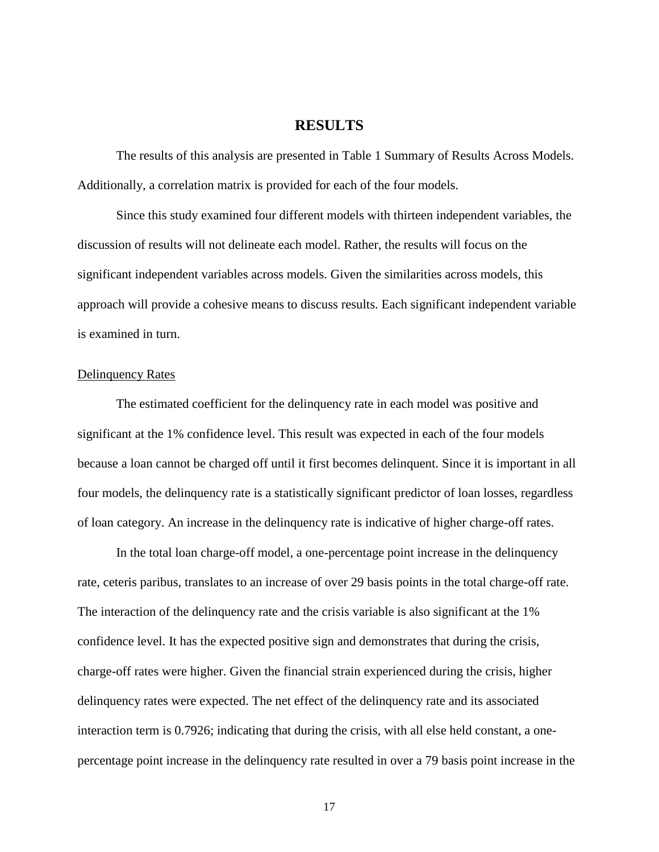## **RESULTS**

<span id="page-24-0"></span>The results of this analysis are presented in Table 1 Summary of Results Across Models. Additionally, a correlation matrix is provided for each of the four models.

Since this study examined four different models with thirteen independent variables, the discussion of results will not delineate each model. Rather, the results will focus on the significant independent variables across models. Given the similarities across models, this approach will provide a cohesive means to discuss results. Each significant independent variable is examined in turn.

### <span id="page-24-1"></span>Delinquency Rates

The estimated coefficient for the delinquency rate in each model was positive and significant at the 1% confidence level. This result was expected in each of the four models because a loan cannot be charged off until it first becomes delinquent. Since it is important in all four models, the delinquency rate is a statistically significant predictor of loan losses, regardless of loan category. An increase in the delinquency rate is indicative of higher charge-off rates.

In the total loan charge-off model, a one-percentage point increase in the delinquency rate, ceteris paribus, translates to an increase of over 29 basis points in the total charge-off rate. The interaction of the delinquency rate and the crisis variable is also significant at the 1% confidence level. It has the expected positive sign and demonstrates that during the crisis, charge-off rates were higher. Given the financial strain experienced during the crisis, higher delinquency rates were expected. The net effect of the delinquency rate and its associated interaction term is 0.7926; indicating that during the crisis, with all else held constant, a onepercentage point increase in the delinquency rate resulted in over a 79 basis point increase in the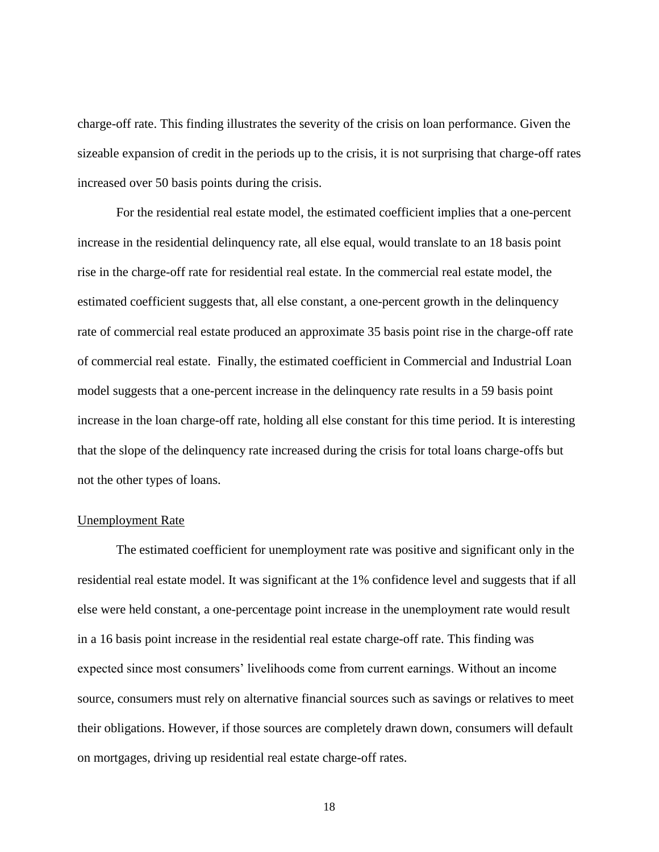charge-off rate. This finding illustrates the severity of the crisis on loan performance. Given the sizeable expansion of credit in the periods up to the crisis, it is not surprising that charge-off rates increased over 50 basis points during the crisis.

For the residential real estate model, the estimated coefficient implies that a one-percent increase in the residential delinquency rate, all else equal, would translate to an 18 basis point rise in the charge-off rate for residential real estate. In the commercial real estate model, the estimated coefficient suggests that, all else constant, a one-percent growth in the delinquency rate of commercial real estate produced an approximate 35 basis point rise in the charge-off rate of commercial real estate. Finally, the estimated coefficient in Commercial and Industrial Loan model suggests that a one-percent increase in the delinquency rate results in a 59 basis point increase in the loan charge-off rate, holding all else constant for this time period. It is interesting that the slope of the delinquency rate increased during the crisis for total loans charge-offs but not the other types of loans.

#### <span id="page-25-0"></span>Unemployment Rate

The estimated coefficient for unemployment rate was positive and significant only in the residential real estate model. It was significant at the 1% confidence level and suggests that if all else were held constant, a one-percentage point increase in the unemployment rate would result in a 16 basis point increase in the residential real estate charge-off rate. This finding was expected since most consumers' livelihoods come from current earnings. Without an income source, consumers must rely on alternative financial sources such as savings or relatives to meet their obligations. However, if those sources are completely drawn down, consumers will default on mortgages, driving up residential real estate charge-off rates.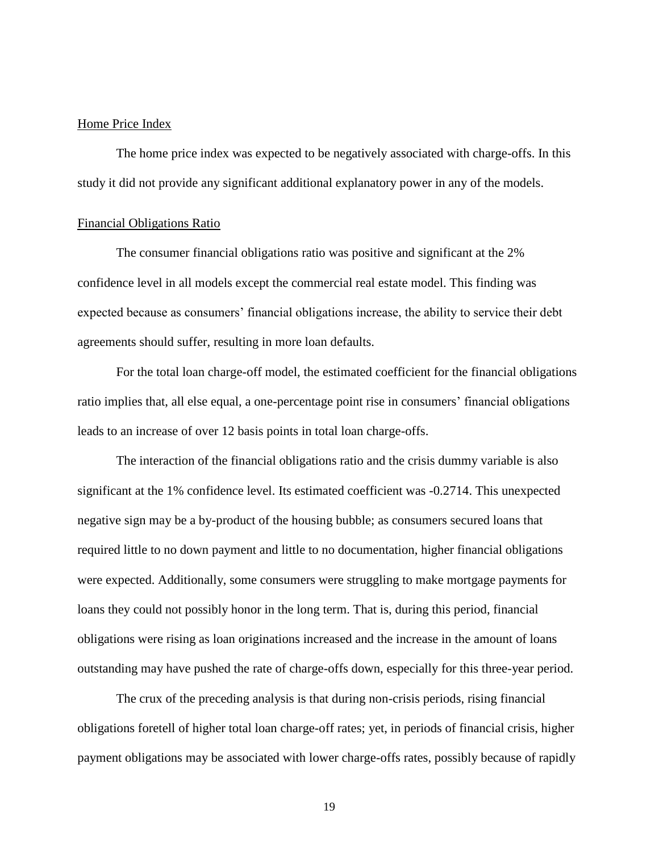#### <span id="page-26-0"></span>Home Price Index

The home price index was expected to be negatively associated with charge-offs. In this study it did not provide any significant additional explanatory power in any of the models.

#### <span id="page-26-1"></span>Financial Obligations Ratio

The consumer financial obligations ratio was positive and significant at the 2% confidence level in all models except the commercial real estate model. This finding was expected because as consumers' financial obligations increase, the ability to service their debt agreements should suffer, resulting in more loan defaults.

For the total loan charge-off model, the estimated coefficient for the financial obligations ratio implies that, all else equal, a one-percentage point rise in consumers' financial obligations leads to an increase of over 12 basis points in total loan charge-offs.

The interaction of the financial obligations ratio and the crisis dummy variable is also significant at the 1% confidence level. Its estimated coefficient was -0.2714. This unexpected negative sign may be a by-product of the housing bubble; as consumers secured loans that required little to no down payment and little to no documentation, higher financial obligations were expected. Additionally, some consumers were struggling to make mortgage payments for loans they could not possibly honor in the long term. That is, during this period, financial obligations were rising as loan originations increased and the increase in the amount of loans outstanding may have pushed the rate of charge-offs down, especially for this three-year period.

The crux of the preceding analysis is that during non-crisis periods, rising financial obligations foretell of higher total loan charge-off rates; yet, in periods of financial crisis, higher payment obligations may be associated with lower charge-offs rates, possibly because of rapidly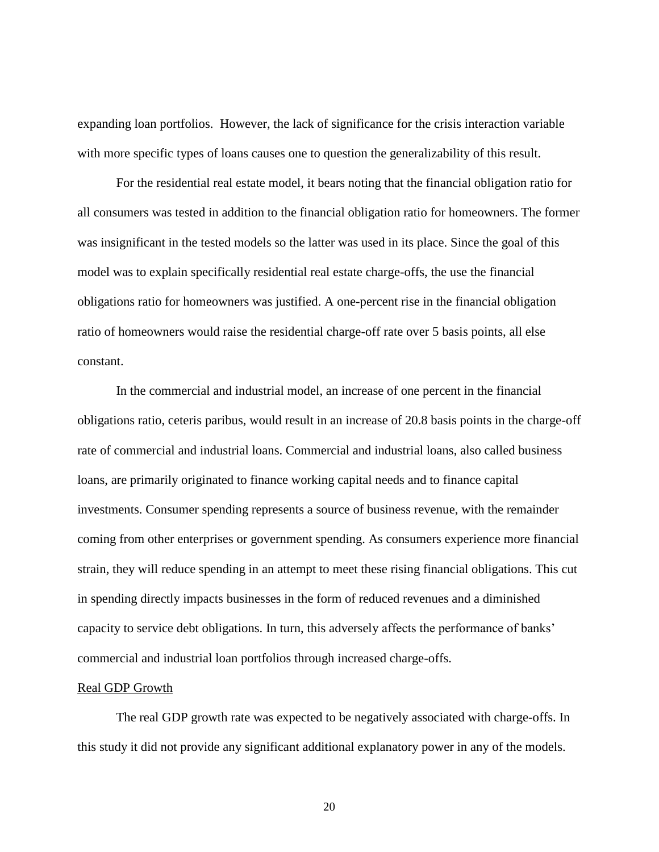expanding loan portfolios. However, the lack of significance for the crisis interaction variable with more specific types of loans causes one to question the generalizability of this result.

For the residential real estate model, it bears noting that the financial obligation ratio for all consumers was tested in addition to the financial obligation ratio for homeowners. The former was insignificant in the tested models so the latter was used in its place. Since the goal of this model was to explain specifically residential real estate charge-offs, the use the financial obligations ratio for homeowners was justified. A one-percent rise in the financial obligation ratio of homeowners would raise the residential charge-off rate over 5 basis points, all else constant.

In the commercial and industrial model, an increase of one percent in the financial obligations ratio, ceteris paribus, would result in an increase of 20.8 basis points in the charge-off rate of commercial and industrial loans. Commercial and industrial loans, also called business loans, are primarily originated to finance working capital needs and to finance capital investments. Consumer spending represents a source of business revenue, with the remainder coming from other enterprises or government spending. As consumers experience more financial strain, they will reduce spending in an attempt to meet these rising financial obligations. This cut in spending directly impacts businesses in the form of reduced revenues and a diminished capacity to service debt obligations. In turn, this adversely affects the performance of banks' commercial and industrial loan portfolios through increased charge-offs.

#### <span id="page-27-0"></span>Real GDP Growth

The real GDP growth rate was expected to be negatively associated with charge-offs. In this study it did not provide any significant additional explanatory power in any of the models.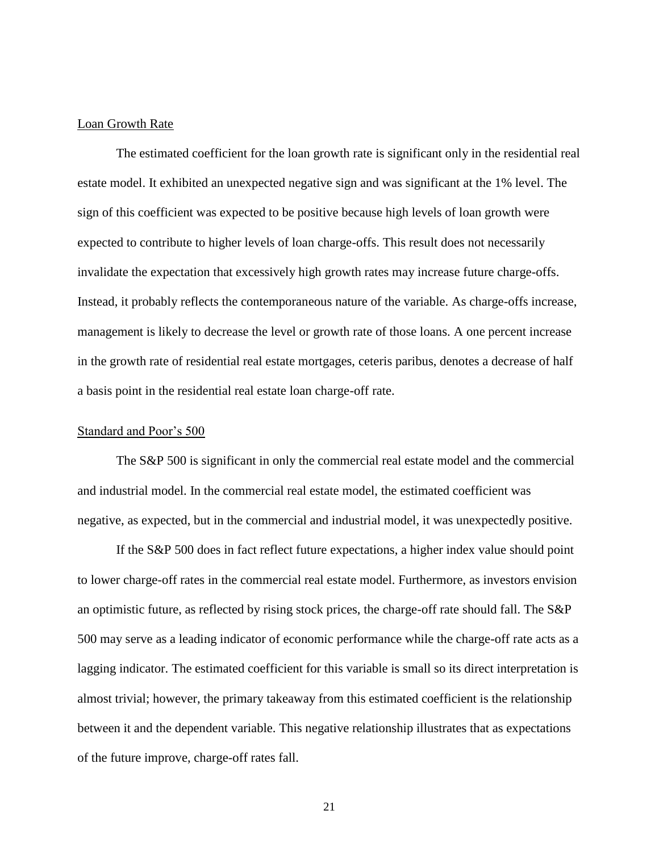#### <span id="page-28-0"></span>Loan Growth Rate

The estimated coefficient for the loan growth rate is significant only in the residential real estate model. It exhibited an unexpected negative sign and was significant at the 1% level. The sign of this coefficient was expected to be positive because high levels of loan growth were expected to contribute to higher levels of loan charge-offs. This result does not necessarily invalidate the expectation that excessively high growth rates may increase future charge-offs. Instead, it probably reflects the contemporaneous nature of the variable. As charge-offs increase, management is likely to decrease the level or growth rate of those loans. A one percent increase in the growth rate of residential real estate mortgages, ceteris paribus, denotes a decrease of half a basis point in the residential real estate loan charge-off rate.

#### <span id="page-28-1"></span>Standard and Poor's 500

The S&P 500 is significant in only the commercial real estate model and the commercial and industrial model. In the commercial real estate model, the estimated coefficient was negative, as expected, but in the commercial and industrial model, it was unexpectedly positive.

If the S&P 500 does in fact reflect future expectations, a higher index value should point to lower charge-off rates in the commercial real estate model. Furthermore, as investors envision an optimistic future, as reflected by rising stock prices, the charge-off rate should fall. The S&P 500 may serve as a leading indicator of economic performance while the charge-off rate acts as a lagging indicator. The estimated coefficient for this variable is small so its direct interpretation is almost trivial; however, the primary takeaway from this estimated coefficient is the relationship between it and the dependent variable. This negative relationship illustrates that as expectations of the future improve, charge-off rates fall.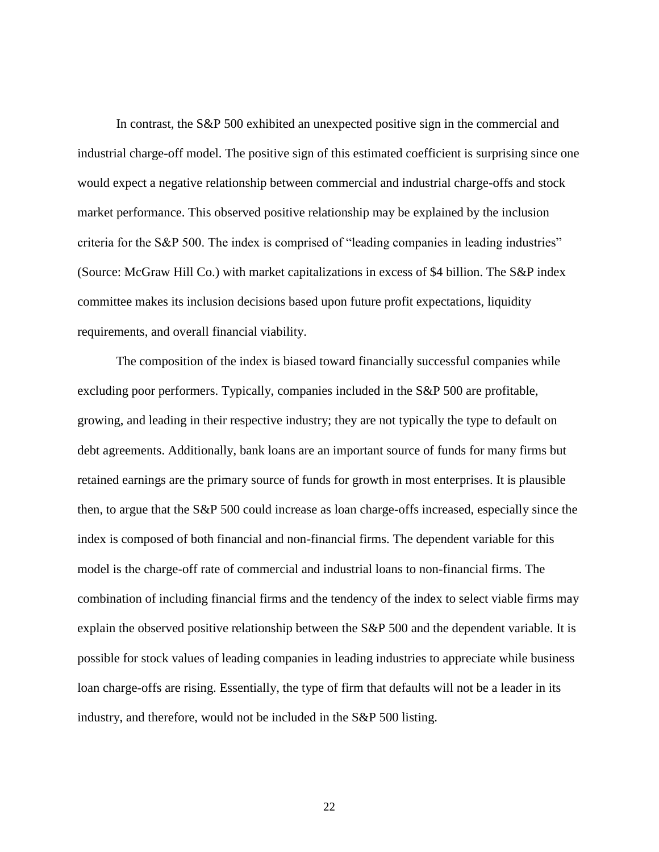In contrast, the S&P 500 exhibited an unexpected positive sign in the commercial and industrial charge-off model. The positive sign of this estimated coefficient is surprising since one would expect a negative relationship between commercial and industrial charge-offs and stock market performance. This observed positive relationship may be explained by the inclusion criteria for the S&P 500. The index is comprised of "leading companies in leading industries" (Source: McGraw Hill Co.) with market capitalizations in excess of \$4 billion. The S&P index committee makes its inclusion decisions based upon future profit expectations, liquidity requirements, and overall financial viability.

The composition of the index is biased toward financially successful companies while excluding poor performers. Typically, companies included in the S&P 500 are profitable, growing, and leading in their respective industry; they are not typically the type to default on debt agreements. Additionally, bank loans are an important source of funds for many firms but retained earnings are the primary source of funds for growth in most enterprises. It is plausible then, to argue that the S&P 500 could increase as loan charge-offs increased, especially since the index is composed of both financial and non-financial firms. The dependent variable for this model is the charge-off rate of commercial and industrial loans to non-financial firms. The combination of including financial firms and the tendency of the index to select viable firms may explain the observed positive relationship between the S&P 500 and the dependent variable. It is possible for stock values of leading companies in leading industries to appreciate while business loan charge-offs are rising. Essentially, the type of firm that defaults will not be a leader in its industry, and therefore, would not be included in the S&P 500 listing.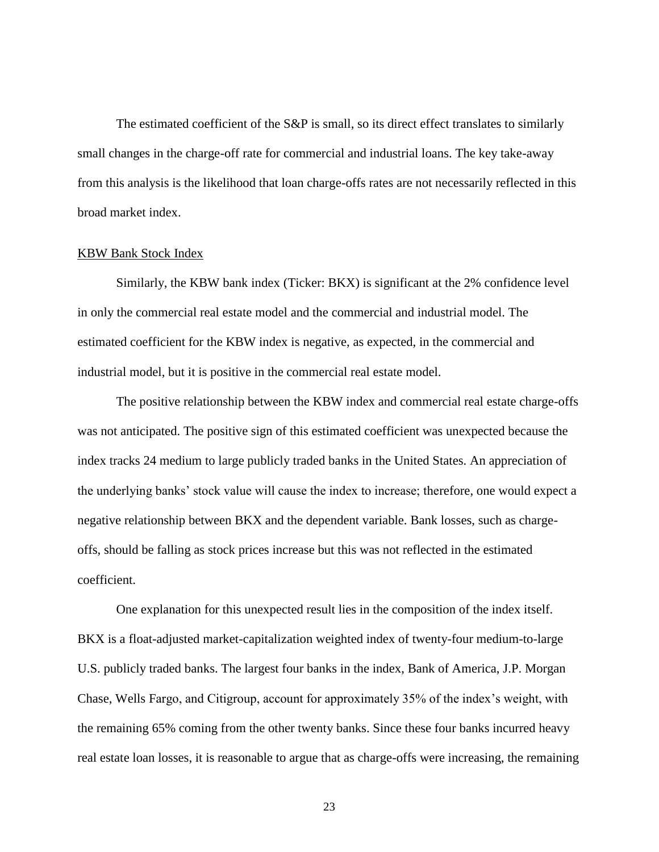The estimated coefficient of the S&P is small, so its direct effect translates to similarly small changes in the charge-off rate for commercial and industrial loans. The key take-away from this analysis is the likelihood that loan charge-offs rates are not necessarily reflected in this broad market index.

#### <span id="page-30-0"></span>KBW Bank Stock Index

Similarly, the KBW bank index (Ticker: BKX) is significant at the 2% confidence level in only the commercial real estate model and the commercial and industrial model. The estimated coefficient for the KBW index is negative, as expected, in the commercial and industrial model, but it is positive in the commercial real estate model.

The positive relationship between the KBW index and commercial real estate charge-offs was not anticipated. The positive sign of this estimated coefficient was unexpected because the index tracks 24 medium to large publicly traded banks in the United States. An appreciation of the underlying banks' stock value will cause the index to increase; therefore, one would expect a negative relationship between BKX and the dependent variable. Bank losses, such as chargeoffs, should be falling as stock prices increase but this was not reflected in the estimated coefficient.

One explanation for this unexpected result lies in the composition of the index itself. BKX is a float-adjusted market-capitalization weighted index of twenty-four medium-to-large U.S. publicly traded banks. The largest four banks in the index, Bank of America, J.P. Morgan Chase, Wells Fargo, and Citigroup, account for approximately 35% of the index's weight, with the remaining 65% coming from the other twenty banks. Since these four banks incurred heavy real estate loan losses, it is reasonable to argue that as charge-offs were increasing, the remaining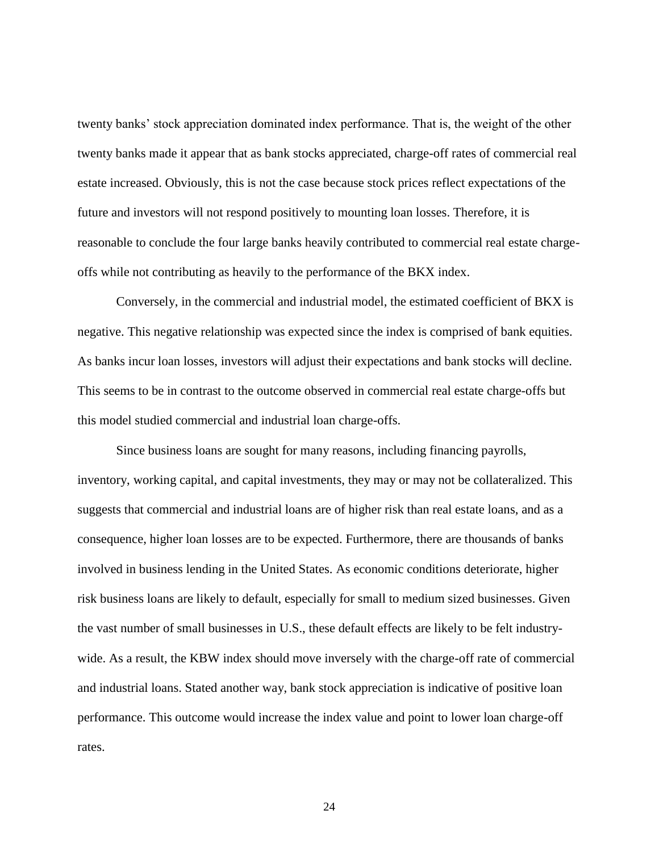twenty banks' stock appreciation dominated index performance. That is, the weight of the other twenty banks made it appear that as bank stocks appreciated, charge-off rates of commercial real estate increased. Obviously, this is not the case because stock prices reflect expectations of the future and investors will not respond positively to mounting loan losses. Therefore, it is reasonable to conclude the four large banks heavily contributed to commercial real estate chargeoffs while not contributing as heavily to the performance of the BKX index.

Conversely, in the commercial and industrial model, the estimated coefficient of BKX is negative. This negative relationship was expected since the index is comprised of bank equities. As banks incur loan losses, investors will adjust their expectations and bank stocks will decline. This seems to be in contrast to the outcome observed in commercial real estate charge-offs but this model studied commercial and industrial loan charge-offs.

Since business loans are sought for many reasons, including financing payrolls, inventory, working capital, and capital investments, they may or may not be collateralized. This suggests that commercial and industrial loans are of higher risk than real estate loans, and as a consequence, higher loan losses are to be expected. Furthermore, there are thousands of banks involved in business lending in the United States. As economic conditions deteriorate, higher risk business loans are likely to default, especially for small to medium sized businesses. Given the vast number of small businesses in U.S., these default effects are likely to be felt industrywide. As a result, the KBW index should move inversely with the charge-off rate of commercial and industrial loans. Stated another way, bank stock appreciation is indicative of positive loan performance. This outcome would increase the index value and point to lower loan charge-off rates.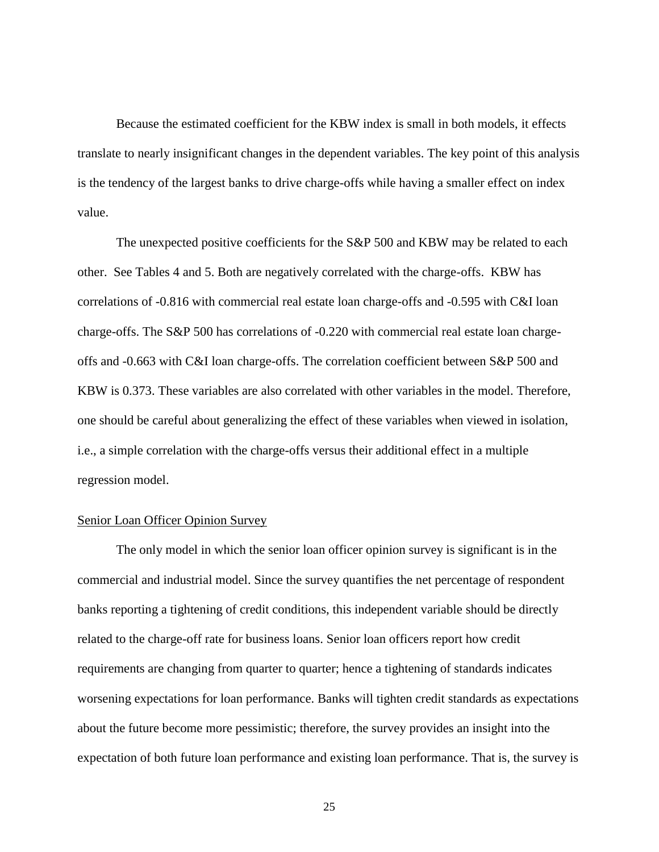Because the estimated coefficient for the KBW index is small in both models, it effects translate to nearly insignificant changes in the dependent variables. The key point of this analysis is the tendency of the largest banks to drive charge-offs while having a smaller effect on index value.

The unexpected positive coefficients for the S&P 500 and KBW may be related to each other. See Tables 4 and 5. Both are negatively correlated with the charge-offs. KBW has correlations of -0.816 with commercial real estate loan charge-offs and -0.595 with C&I loan charge-offs. The S&P 500 has correlations of -0.220 with commercial real estate loan chargeoffs and -0.663 with C&I loan charge-offs. The correlation coefficient between S&P 500 and KBW is 0.373. These variables are also correlated with other variables in the model. Therefore, one should be careful about generalizing the effect of these variables when viewed in isolation, i.e., a simple correlation with the charge-offs versus their additional effect in a multiple regression model.

#### <span id="page-32-0"></span>Senior Loan Officer Opinion Survey

The only model in which the senior loan officer opinion survey is significant is in the commercial and industrial model. Since the survey quantifies the net percentage of respondent banks reporting a tightening of credit conditions, this independent variable should be directly related to the charge-off rate for business loans. Senior loan officers report how credit requirements are changing from quarter to quarter; hence a tightening of standards indicates worsening expectations for loan performance. Banks will tighten credit standards as expectations about the future become more pessimistic; therefore, the survey provides an insight into the expectation of both future loan performance and existing loan performance. That is, the survey is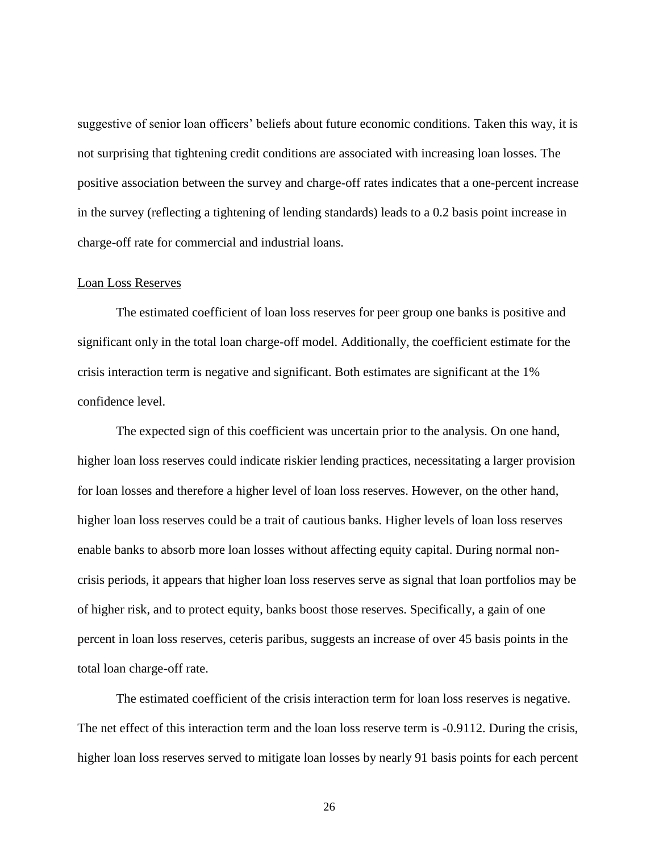suggestive of senior loan officers' beliefs about future economic conditions. Taken this way, it is not surprising that tightening credit conditions are associated with increasing loan losses. The positive association between the survey and charge-off rates indicates that a one-percent increase in the survey (reflecting a tightening of lending standards) leads to a 0.2 basis point increase in charge-off rate for commercial and industrial loans.

#### <span id="page-33-0"></span>Loan Loss Reserves

The estimated coefficient of loan loss reserves for peer group one banks is positive and significant only in the total loan charge-off model. Additionally, the coefficient estimate for the crisis interaction term is negative and significant. Both estimates are significant at the 1% confidence level.

The expected sign of this coefficient was uncertain prior to the analysis. On one hand, higher loan loss reserves could indicate riskier lending practices, necessitating a larger provision for loan losses and therefore a higher level of loan loss reserves. However, on the other hand, higher loan loss reserves could be a trait of cautious banks. Higher levels of loan loss reserves enable banks to absorb more loan losses without affecting equity capital. During normal noncrisis periods, it appears that higher loan loss reserves serve as signal that loan portfolios may be of higher risk, and to protect equity, banks boost those reserves. Specifically, a gain of one percent in loan loss reserves, ceteris paribus, suggests an increase of over 45 basis points in the total loan charge-off rate.

The estimated coefficient of the crisis interaction term for loan loss reserves is negative. The net effect of this interaction term and the loan loss reserve term is -0.9112. During the crisis, higher loan loss reserves served to mitigate loan losses by nearly 91 basis points for each percent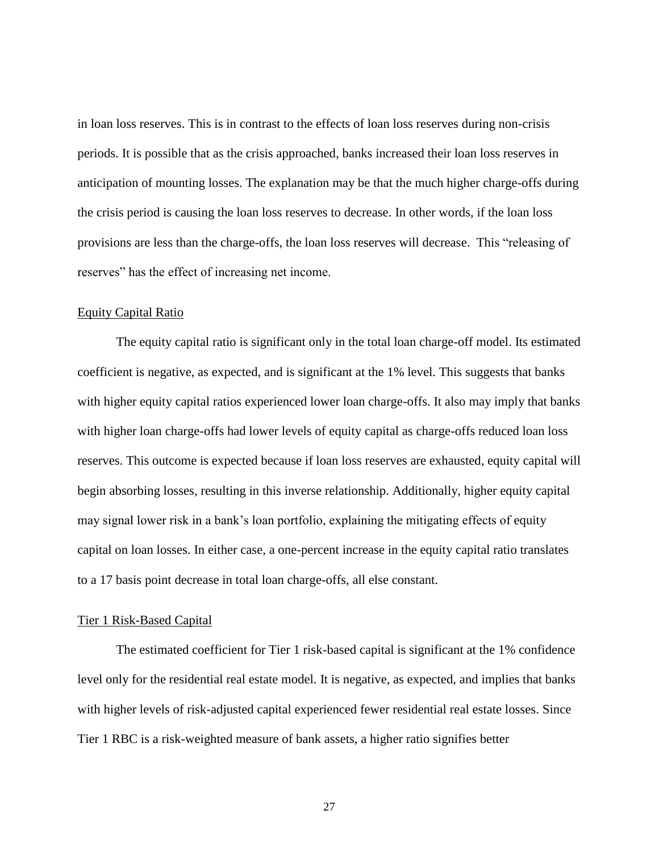in loan loss reserves. This is in contrast to the effects of loan loss reserves during non-crisis periods. It is possible that as the crisis approached, banks increased their loan loss reserves in anticipation of mounting losses. The explanation may be that the much higher charge-offs during the crisis period is causing the loan loss reserves to decrease. In other words, if the loan loss provisions are less than the charge-offs, the loan loss reserves will decrease. This "releasing of reserves" has the effect of increasing net income.

#### <span id="page-34-0"></span>Equity Capital Ratio

The equity capital ratio is significant only in the total loan charge-off model. Its estimated coefficient is negative, as expected, and is significant at the 1% level. This suggests that banks with higher equity capital ratios experienced lower loan charge-offs. It also may imply that banks with higher loan charge-offs had lower levels of equity capital as charge-offs reduced loan loss reserves. This outcome is expected because if loan loss reserves are exhausted, equity capital will begin absorbing losses, resulting in this inverse relationship. Additionally, higher equity capital may signal lower risk in a bank's loan portfolio, explaining the mitigating effects of equity capital on loan losses. In either case, a one-percent increase in the equity capital ratio translates to a 17 basis point decrease in total loan charge-offs, all else constant.

#### <span id="page-34-1"></span>Tier 1 Risk-Based Capital

The estimated coefficient for Tier 1 risk-based capital is significant at the 1% confidence level only for the residential real estate model. It is negative, as expected, and implies that banks with higher levels of risk-adjusted capital experienced fewer residential real estate losses. Since Tier 1 RBC is a risk-weighted measure of bank assets, a higher ratio signifies better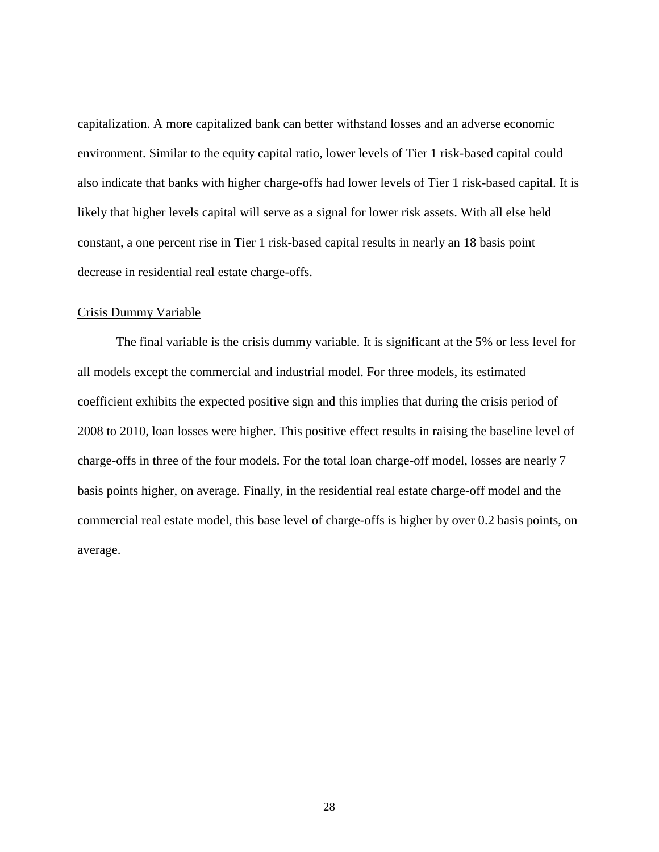capitalization. A more capitalized bank can better withstand losses and an adverse economic environment. Similar to the equity capital ratio, lower levels of Tier 1 risk-based capital could also indicate that banks with higher charge-offs had lower levels of Tier 1 risk-based capital. It is likely that higher levels capital will serve as a signal for lower risk assets. With all else held constant, a one percent rise in Tier 1 risk-based capital results in nearly an 18 basis point decrease in residential real estate charge-offs.

#### <span id="page-35-0"></span>Crisis Dummy Variable

The final variable is the crisis dummy variable. It is significant at the 5% or less level for all models except the commercial and industrial model. For three models, its estimated coefficient exhibits the expected positive sign and this implies that during the crisis period of 2008 to 2010, loan losses were higher. This positive effect results in raising the baseline level of charge-offs in three of the four models. For the total loan charge-off model, losses are nearly 7 basis points higher, on average. Finally, in the residential real estate charge-off model and the commercial real estate model, this base level of charge-offs is higher by over 0.2 basis points, on average.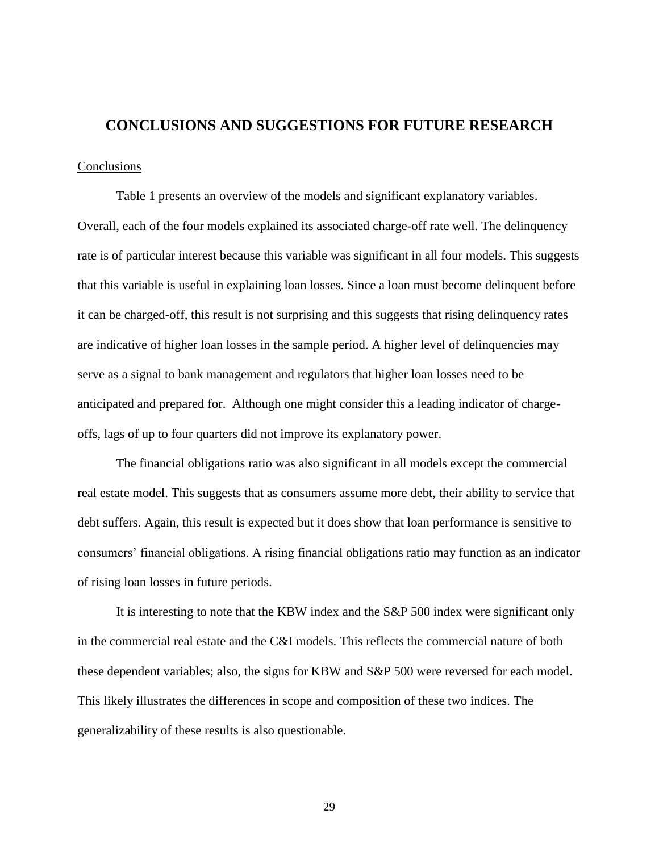# <span id="page-36-0"></span>**CONCLUSIONS AND SUGGESTIONS FOR FUTURE RESEARCH**

#### <span id="page-36-1"></span>**Conclusions**

Table 1 presents an overview of the models and significant explanatory variables. Overall, each of the four models explained its associated charge-off rate well. The delinquency rate is of particular interest because this variable was significant in all four models. This suggests that this variable is useful in explaining loan losses. Since a loan must become delinquent before it can be charged-off, this result is not surprising and this suggests that rising delinquency rates are indicative of higher loan losses in the sample period. A higher level of delinquencies may serve as a signal to bank management and regulators that higher loan losses need to be anticipated and prepared for. Although one might consider this a leading indicator of chargeoffs, lags of up to four quarters did not improve its explanatory power.

The financial obligations ratio was also significant in all models except the commercial real estate model. This suggests that as consumers assume more debt, their ability to service that debt suffers. Again, this result is expected but it does show that loan performance is sensitive to consumers' financial obligations. A rising financial obligations ratio may function as an indicator of rising loan losses in future periods.

It is interesting to note that the KBW index and the S&P 500 index were significant only in the commercial real estate and the C&I models. This reflects the commercial nature of both these dependent variables; also, the signs for KBW and S&P 500 were reversed for each model. This likely illustrates the differences in scope and composition of these two indices. The generalizability of these results is also questionable.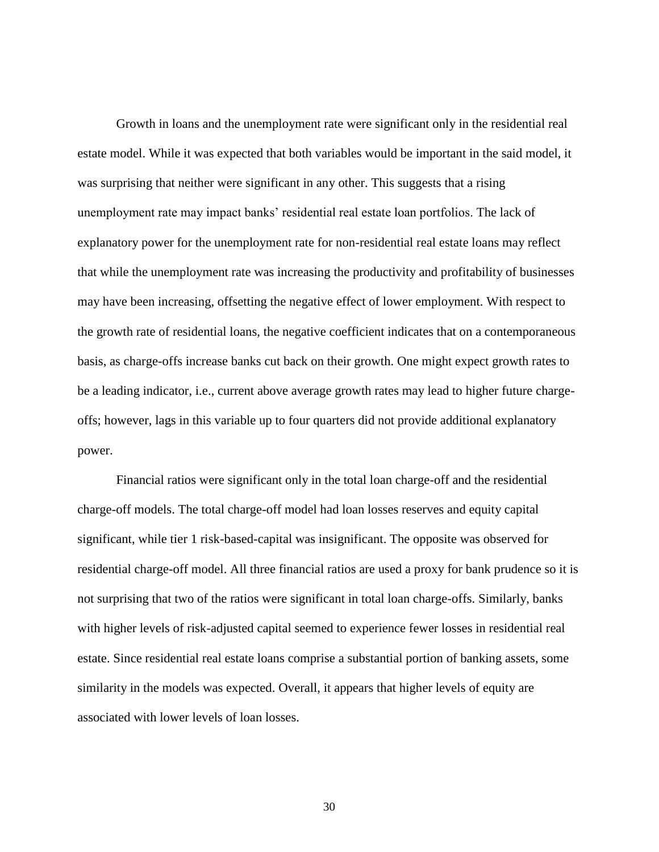Growth in loans and the unemployment rate were significant only in the residential real estate model. While it was expected that both variables would be important in the said model, it was surprising that neither were significant in any other. This suggests that a rising unemployment rate may impact banks' residential real estate loan portfolios. The lack of explanatory power for the unemployment rate for non-residential real estate loans may reflect that while the unemployment rate was increasing the productivity and profitability of businesses may have been increasing, offsetting the negative effect of lower employment. With respect to the growth rate of residential loans, the negative coefficient indicates that on a contemporaneous basis, as charge-offs increase banks cut back on their growth. One might expect growth rates to be a leading indicator, i.e., current above average growth rates may lead to higher future chargeoffs; however, lags in this variable up to four quarters did not provide additional explanatory power.

Financial ratios were significant only in the total loan charge-off and the residential charge-off models. The total charge-off model had loan losses reserves and equity capital significant, while tier 1 risk-based-capital was insignificant. The opposite was observed for residential charge-off model. All three financial ratios are used a proxy for bank prudence so it is not surprising that two of the ratios were significant in total loan charge-offs. Similarly, banks with higher levels of risk-adjusted capital seemed to experience fewer losses in residential real estate. Since residential real estate loans comprise a substantial portion of banking assets, some similarity in the models was expected. Overall, it appears that higher levels of equity are associated with lower levels of loan losses.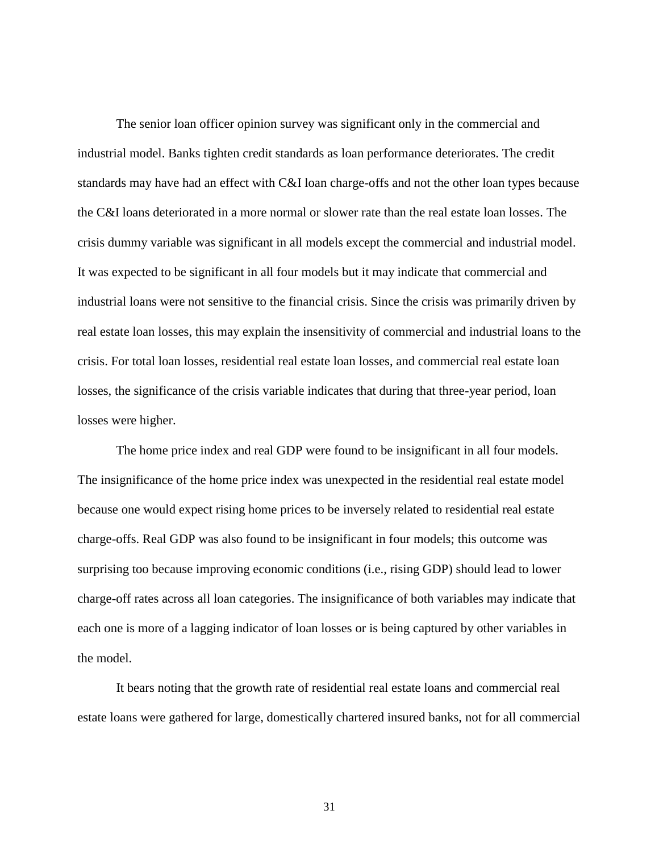The senior loan officer opinion survey was significant only in the commercial and industrial model. Banks tighten credit standards as loan performance deteriorates. The credit standards may have had an effect with C&I loan charge-offs and not the other loan types because the C&I loans deteriorated in a more normal or slower rate than the real estate loan losses. The crisis dummy variable was significant in all models except the commercial and industrial model. It was expected to be significant in all four models but it may indicate that commercial and industrial loans were not sensitive to the financial crisis. Since the crisis was primarily driven by real estate loan losses, this may explain the insensitivity of commercial and industrial loans to the crisis. For total loan losses, residential real estate loan losses, and commercial real estate loan losses, the significance of the crisis variable indicates that during that three-year period, loan losses were higher.

The home price index and real GDP were found to be insignificant in all four models. The insignificance of the home price index was unexpected in the residential real estate model because one would expect rising home prices to be inversely related to residential real estate charge-offs. Real GDP was also found to be insignificant in four models; this outcome was surprising too because improving economic conditions (i.e., rising GDP) should lead to lower charge-off rates across all loan categories. The insignificance of both variables may indicate that each one is more of a lagging indicator of loan losses or is being captured by other variables in the model.

It bears noting that the growth rate of residential real estate loans and commercial real estate loans were gathered for large, domestically chartered insured banks, not for all commercial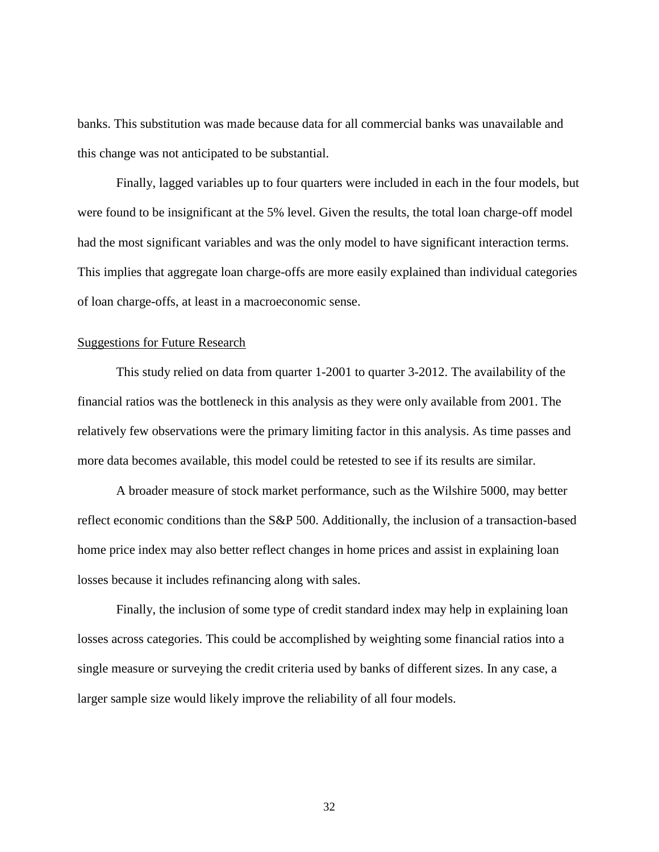banks. This substitution was made because data for all commercial banks was unavailable and this change was not anticipated to be substantial.

Finally, lagged variables up to four quarters were included in each in the four models, but were found to be insignificant at the 5% level. Given the results, the total loan charge-off model had the most significant variables and was the only model to have significant interaction terms. This implies that aggregate loan charge-offs are more easily explained than individual categories of loan charge-offs, at least in a macroeconomic sense.

#### <span id="page-39-0"></span>Suggestions for Future Research

This study relied on data from quarter 1-2001 to quarter 3-2012. The availability of the financial ratios was the bottleneck in this analysis as they were only available from 2001. The relatively few observations were the primary limiting factor in this analysis. As time passes and more data becomes available, this model could be retested to see if its results are similar.

A broader measure of stock market performance, such as the Wilshire 5000, may better reflect economic conditions than the S&P 500. Additionally, the inclusion of a transaction-based home price index may also better reflect changes in home prices and assist in explaining loan losses because it includes refinancing along with sales.

Finally, the inclusion of some type of credit standard index may help in explaining loan losses across categories. This could be accomplished by weighting some financial ratios into a single measure or surveying the credit criteria used by banks of different sizes. In any case, a larger sample size would likely improve the reliability of all four models.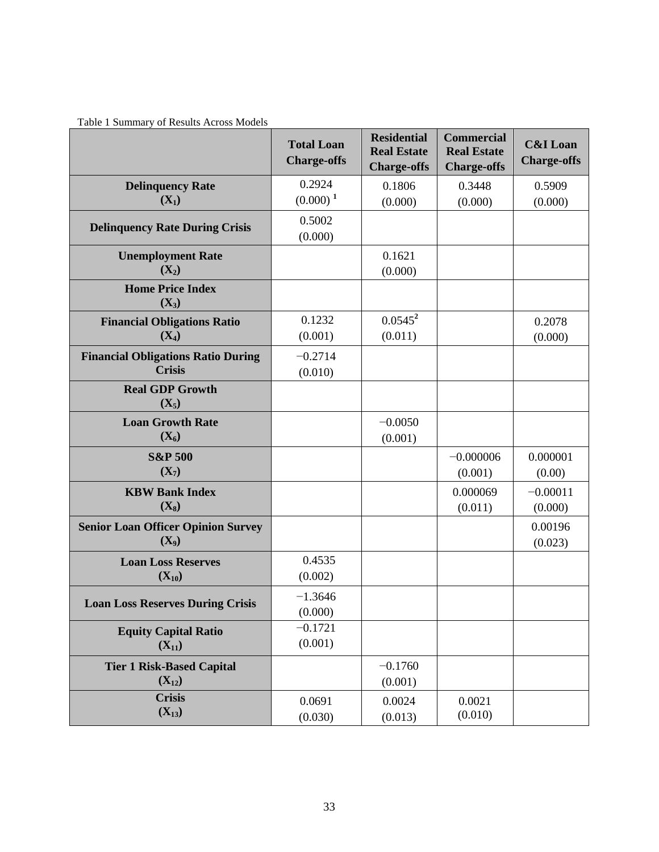<span id="page-40-0"></span>

| Table 1 Summary of Results Across Models |  |  |  |  |  |
|------------------------------------------|--|--|--|--|--|
|------------------------------------------|--|--|--|--|--|

|                                                      | <b>Total Loan</b><br><b>Charge-offs</b> | <b>Residential</b><br><b>Real Estate</b><br><b>Charge-offs</b> | <b>Commercial</b><br><b>Real Estate</b><br><b>Charge-offs</b> | <b>C&amp;I</b> Loan<br><b>Charge-offs</b> |
|------------------------------------------------------|-----------------------------------------|----------------------------------------------------------------|---------------------------------------------------------------|-------------------------------------------|
| <b>Delinquency Rate</b>                              | 0.2924                                  | 0.1806                                                         | 0.3448                                                        | 0.5909                                    |
| $(X_1)$                                              | $(0.000)^1$                             | (0.000)                                                        | (0.000)                                                       | (0.000)                                   |
| <b>Delinquency Rate During Crisis</b>                | 0.5002<br>(0.000)                       |                                                                |                                                               |                                           |
| <b>Unemployment Rate</b><br>$(X_2)$                  |                                         | 0.1621<br>(0.000)                                              |                                                               |                                           |
| <b>Home Price Index</b><br>$(X_3)$                   |                                         |                                                                |                                                               |                                           |
| <b>Financial Obligations Ratio</b>                   | 0.1232                                  | $0.0545^2$                                                     |                                                               | 0.2078                                    |
| $(X_4)$                                              | (0.001)                                 | (0.011)                                                        |                                                               | (0.000)                                   |
| <b>Financial Obligations Ratio During</b>            | $-0.2714$                               |                                                                |                                                               |                                           |
| <b>Crisis</b>                                        | (0.010)                                 |                                                                |                                                               |                                           |
| <b>Real GDP Growth</b><br>$(X_5)$                    |                                         |                                                                |                                                               |                                           |
| <b>Loan Growth Rate</b><br>$(X_6)$                   |                                         | $-0.0050$<br>(0.001)                                           |                                                               |                                           |
| <b>S&amp;P 500</b>                                   |                                         |                                                                | $-0.000006$                                                   | 0.000001                                  |
| $(X_7)$                                              |                                         |                                                                | (0.001)                                                       | (0.00)                                    |
| <b>KBW Bank Index</b>                                |                                         |                                                                | 0.000069                                                      | $-0.00011$                                |
| $(X_8)$                                              |                                         |                                                                | (0.011)                                                       | (0.000)                                   |
| <b>Senior Loan Officer Opinion Survey</b><br>$(X_9)$ |                                         |                                                                |                                                               | 0.00196<br>(0.023)                        |
| <b>Loan Loss Reserves</b>                            | 0.4535                                  |                                                                |                                                               |                                           |
| $(X_{10})$                                           | (0.002)                                 |                                                                |                                                               |                                           |
| <b>Loan Loss Reserves During Crisis</b>              | $-1.3646$                               |                                                                |                                                               |                                           |
|                                                      | (0.000)                                 |                                                                |                                                               |                                           |
| <b>Equity Capital Ratio</b>                          | $-0.1721$<br>(0.001)                    |                                                                |                                                               |                                           |
| $(X_{11})$                                           |                                         |                                                                |                                                               |                                           |
| <b>Tier 1 Risk-Based Capital</b>                     |                                         | $-0.1760$                                                      |                                                               |                                           |
| $(X_{12})$<br><b>Crisis</b>                          |                                         | (0.001)                                                        |                                                               |                                           |
| $(X_{13})$                                           | 0.0691                                  | 0.0024                                                         | 0.0021<br>(0.010)                                             |                                           |
|                                                      | (0.030)                                 | (0.013)                                                        |                                                               |                                           |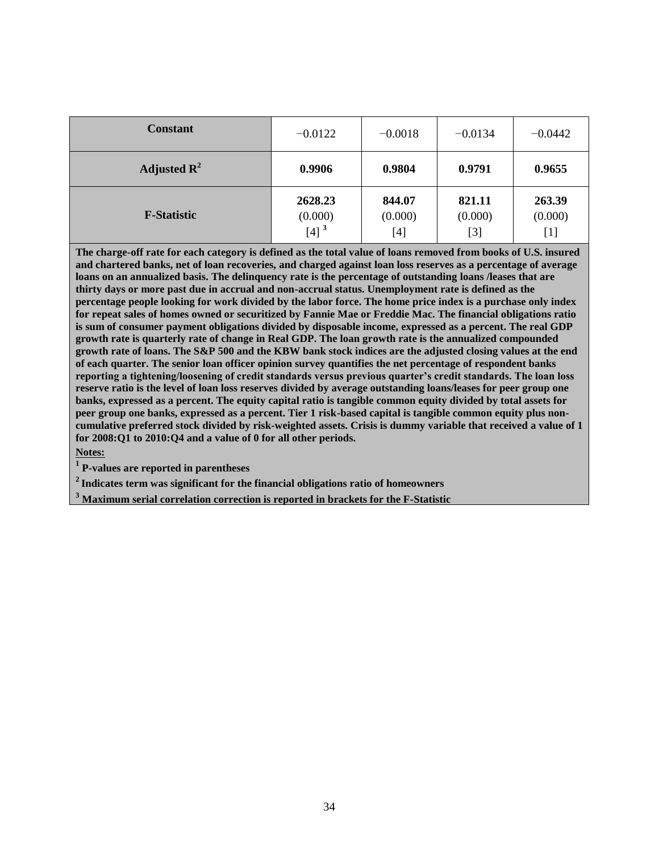| <b>Constant</b>         | $-0.0122$                                | $-0.0018$                | $-0.0134$                  | $-0.0442$                |
|-------------------------|------------------------------------------|--------------------------|----------------------------|--------------------------|
| Adjusted $\mathbb{R}^2$ | 0.9906                                   | 0.9804                   | 0.9791                     | 0.9655                   |
| <b>F-Statistic</b>      | 2628.23<br>(0.000)<br>$[4]$ <sup>3</sup> | 844.07<br>(0.000)<br>[4] | 821.11<br>(0.000)<br>$[3]$ | 263.39<br>(0.000)<br>[1] |

**The charge-off rate for each category is defined as the total value of loans removed from books of U.S. insured and chartered banks, net of loan recoveries, and charged against loan loss reserves as a percentage of average loans on an annualized basis. The delinquency rate is the percentage of outstanding loans /leases that are thirty days or more past due in accrual and non-accrual status. Unemployment rate is defined as the percentage people looking for work divided by the labor force. The home price index is a purchase only index for repeat sales of homes owned or securitized by Fannie Mae or Freddie Mac. The financial obligations ratio is sum of consumer payment obligations divided by disposable income, expressed as a percent. The real GDP growth rate is quarterly rate of change in Real GDP. The loan growth rate is the annualized compounded growth rate of loans. The S&P 500 and the KBW bank stock indices are the adjusted closing values at the end of each quarter. The senior loan officer opinion survey quantifies the net percentage of respondent banks reporting a tightening/loosening of credit standards versus previous quarter's credit standards. The loan loss reserve ratio is the level of loan loss reserves divided by average outstanding loans/leases for peer group one banks, expressed as a percent. The equity capital ratio is tangible common equity divided by total assets for peer group one banks, expressed as a percent. Tier 1 risk-based capital is tangible common equity plus noncumulative preferred stock divided by risk-weighted assets. Crisis is dummy variable that received a value of 1 for 2008:Q1 to 2010:Q4 and a value of 0 for all other periods.** 

#### **Notes:**

**1 P-values are reported in parentheses**

**<sup>2</sup>Indicates term was significant for the financial obligations ratio of homeowners**

**<sup>3</sup> Maximum serial correlation correction is reported in brackets for the F-Statistic**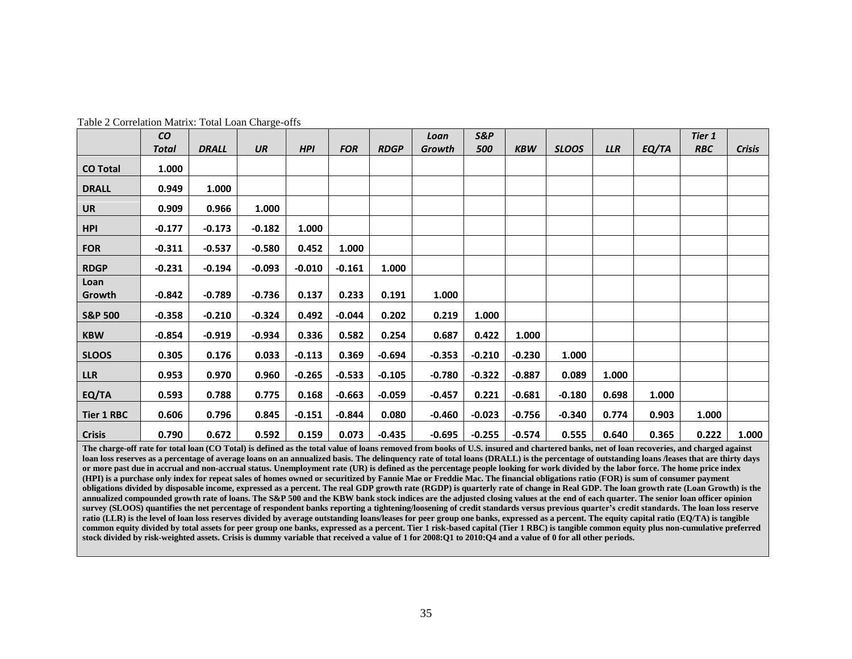|                    | co           |              |          |            |            |             | Loan     | <b>S&amp;P</b> |            |              |            |       | <b>Tier 1</b> |               |
|--------------------|--------------|--------------|----------|------------|------------|-------------|----------|----------------|------------|--------------|------------|-------|---------------|---------------|
|                    | <b>Total</b> | <b>DRALL</b> | UR       | <b>HPI</b> | <b>FOR</b> | <b>RDGP</b> | Growth   | 500            | <b>KBW</b> | <b>SLOOS</b> | <b>LLR</b> | EQ/TA | <b>RBC</b>    | <b>Crisis</b> |
| <b>CO Total</b>    | 1.000        |              |          |            |            |             |          |                |            |              |            |       |               |               |
| <b>DRALL</b>       | 0.949        | 1.000        |          |            |            |             |          |                |            |              |            |       |               |               |
| <b>UR</b>          | 0.909        | 0.966        | 1.000    |            |            |             |          |                |            |              |            |       |               |               |
| <b>HPI</b>         | $-0.177$     | $-0.173$     | $-0.182$ | 1.000      |            |             |          |                |            |              |            |       |               |               |
| <b>FOR</b>         | $-0.311$     | $-0.537$     | $-0.580$ | 0.452      | 1.000      |             |          |                |            |              |            |       |               |               |
| <b>RDGP</b>        | $-0.231$     | $-0.194$     | $-0.093$ | $-0.010$   | $-0.161$   | 1.000       |          |                |            |              |            |       |               |               |
| Loan<br>Growth     | $-0.842$     | $-0.789$     | $-0.736$ | 0.137      | 0.233      | 0.191       | 1.000    |                |            |              |            |       |               |               |
| <b>S&amp;P 500</b> | $-0.358$     | $-0.210$     | $-0.324$ | 0.492      | $-0.044$   | 0.202       | 0.219    | 1.000          |            |              |            |       |               |               |
| <b>KBW</b>         | $-0.854$     | $-0.919$     | $-0.934$ | 0.336      | 0.582      | 0.254       | 0.687    | 0.422          | 1.000      |              |            |       |               |               |
| <b>SLOOS</b>       | 0.305        | 0.176        | 0.033    | $-0.113$   | 0.369      | $-0.694$    | $-0.353$ | $-0.210$       | $-0.230$   | 1.000        |            |       |               |               |
| <b>LLR</b>         | 0.953        | 0.970        | 0.960    | $-0.265$   | $-0.533$   | $-0.105$    | $-0.780$ | $-0.322$       | $-0.887$   | 0.089        | 1.000      |       |               |               |
| EQ/TA              | 0.593        | 0.788        | 0.775    | 0.168      | $-0.663$   | $-0.059$    | $-0.457$ | 0.221          | $-0.681$   | $-0.180$     | 0.698      | 1.000 |               |               |
| <b>Tier 1 RBC</b>  | 0.606        | 0.796        | 0.845    | $-0.151$   | $-0.844$   | 0.080       | $-0.460$ | $-0.023$       | $-0.756$   | $-0.340$     | 0.774      | 0.903 | 1.000         |               |
| <b>Crisis</b>      | 0.790        | 0.672        | 0.592    | 0.159      | 0.073      | $-0.435$    | $-0.695$ | $-0.255$       | $-0.574$   | 0.555        | 0.640      | 0.365 | 0.222         | 1.000         |

Table 2 Correlation Matrix: Total Loan Charge-offs

<span id="page-42-0"></span>**The charge-off rate for total loan (CO Total) is defined as the total value of loans removed from books of U.S. insured and chartered banks, net of loan recoveries, and charged against loan loss reserves as a percentage of average loans on an annualized basis. The delinquency rate of total loans (DRALL) is the percentage of outstanding loans /leases that are thirty days or more past due in accrual and non-accrual status. Unemployment rate (UR) is defined as the percentage people looking for work divided by the labor force. The home price index (HPI) is a purchase only index for repeat sales of homes owned or securitized by Fannie Mae or Freddie Mac. The financial obligations ratio (FOR) is sum of consumer payment obligations divided by disposable income, expressed as a percent. The real GDP growth rate (RGDP) is quarterly rate of change in Real GDP. The loan growth rate (Loan Growth) is the annualized compounded growth rate of loans. The S&P 500 and the KBW bank stock indices are the adjusted closing values at the end of each quarter. The senior loan officer opinion survey (SLOOS) quantifies the net percentage of respondent banks reporting a tightening/loosening of credit standards versus previous quarter's credit standards. The loan loss reserve**  ratio (LLR) is the level of loan loss reserves divided by average outstanding loans/leases for peer group one banks, expressed as a percent. The equity capital ratio (EQ/TA) is tangible **common equity divided by total assets for peer group one banks, expressed as a percent. Tier 1 risk-based capital (Tier 1 RBC) is tangible common equity plus non-cumulative preferred stock divided by risk-weighted assets. Crisis is dummy variable that received a value of 1 for 2008:Q1 to 2010:Q4 and a value of 0 for all other periods.**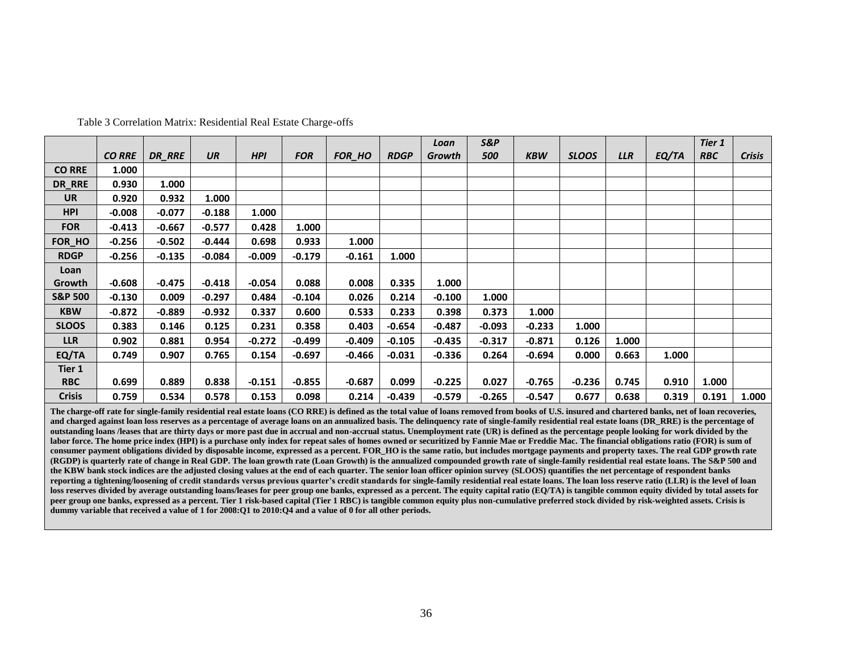|                    |               |               |           |            |            |          |             | Loan     | S&P      |            |              |            |       | Tier 1     |               |
|--------------------|---------------|---------------|-----------|------------|------------|----------|-------------|----------|----------|------------|--------------|------------|-------|------------|---------------|
|                    | <b>CO RRE</b> | <b>DR RRE</b> | <b>UR</b> | <b>HPI</b> | <b>FOR</b> | FOR_HO   | <b>RDGP</b> | Growth   | 500      | <b>KBW</b> | <b>SLOOS</b> | <b>LLR</b> | EQ/TA | <b>RBC</b> | <b>Crisis</b> |
| <b>CO RRE</b>      | 1.000         |               |           |            |            |          |             |          |          |            |              |            |       |            |               |
| DR_RRE             | 0.930         | 1.000         |           |            |            |          |             |          |          |            |              |            |       |            |               |
| <b>UR</b>          | 0.920         | 0.932         | 1.000     |            |            |          |             |          |          |            |              |            |       |            |               |
| <b>HPI</b>         | $-0.008$      | $-0.077$      | $-0.188$  | 1.000      |            |          |             |          |          |            |              |            |       |            |               |
| <b>FOR</b>         | $-0.413$      | $-0.667$      | $-0.577$  | 0.428      | 1.000      |          |             |          |          |            |              |            |       |            |               |
| FOR_HO             | $-0.256$      | $-0.502$      | $-0.444$  | 0.698      | 0.933      | 1.000    |             |          |          |            |              |            |       |            |               |
| <b>RDGP</b>        | $-0.256$      | $-0.135$      | $-0.084$  | -0.009     | $-0.179$   | $-0.161$ | 1.000       |          |          |            |              |            |       |            |               |
| Loan               |               |               |           |            |            |          |             |          |          |            |              |            |       |            |               |
| Growth             | $-0.608$      | $-0.475$      | $-0.418$  | $-0.054$   | 0.088      | 0.008    | 0.335       | 1.000    |          |            |              |            |       |            |               |
| <b>S&amp;P 500</b> | $-0.130$      | 0.009         | $-0.297$  | 0.484      | $-0.104$   | 0.026    | 0.214       | $-0.100$ | 1.000    |            |              |            |       |            |               |
| <b>KBW</b>         | $-0.872$      | $-0.889$      | $-0.932$  | 0.337      | 0.600      | 0.533    | 0.233       | 0.398    | 0.373    | 1.000      |              |            |       |            |               |
| <b>SLOOS</b>       | 0.383         | 0.146         | 0.125     | 0.231      | 0.358      | 0.403    | $-0.654$    | $-0.487$ | $-0.093$ | $-0.233$   | 1.000        |            |       |            |               |
| <b>LLR</b>         | 0.902         | 0.881         | 0.954     | $-0.272$   | $-0.499$   | $-0.409$ | $-0.105$    | $-0.435$ | $-0.317$ | $-0.871$   | 0.126        | 1.000      |       |            |               |
| EQ/TA              | 0.749         | 0.907         | 0.765     | 0.154      | $-0.697$   | $-0.466$ | $-0.031$    | $-0.336$ | 0.264    | $-0.694$   | 0.000        | 0.663      | 1.000 |            |               |
| Tier 1             |               |               |           |            |            |          |             |          |          |            |              |            |       |            |               |
| <b>RBC</b>         | 0.699         | 0.889         | 0.838     | $-0.151$   | $-0.855$   | $-0.687$ | 0.099       | $-0.225$ | 0.027    | $-0.765$   | $-0.236$     | 0.745      | 0.910 | 1.000      |               |
| <b>Crisis</b>      | 0.759         | 0.534         | 0.578     | 0.153      | 0.098      | 0.214    | $-0.439$    | -0.579   | $-0.265$ | -0.547     | 0.677        | 0.638      | 0.319 | 0.191      | 1.000         |

Table 3 Correlation Matrix: Residential Real Estate Charge-offs

<span id="page-43-0"></span>**The charge-off rate for single-family residential real estate loans (CO RRE) is defined as the total value of loans removed from books of U.S. insured and chartered banks, net of loan recoveries,**  and charged against loan loss reserves as a percentage of average loans on an annualized basis. The delinquency rate of single-family residential real estate loans (DR\_RRE) is the percentage of **outstanding loans /leases that are thirty days or more past due in accrual and non-accrual status. Unemployment rate (UR) is defined as the percentage people looking for work divided by the**  labor force. The home price index (HPI) is a purchase only index for repeat sales of homes owned or securitized by Fannie Mae or Freddie Mac. The financial obligations ratio (FOR) is sum of **consumer payment obligations divided by disposable income, expressed as a percent. FOR\_HO is the same ratio, but includes mortgage payments and property taxes. The real GDP growth rate (RGDP) is quarterly rate of change in Real GDP. The loan growth rate (Loan Growth) is the annualized compounded growth rate of single-family residential real estate loans. The S&P 500 and the KBW bank stock indices are the adjusted closing values at the end of each quarter. The senior loan officer opinion survey (SLOOS) quantifies the net percentage of respondent banks**  reporting a tightening/loosening of credit standards versus previous quarter's credit standards for single-family residential real estate loans. The loan loss reserve ratio (LLR) is the level of loan **loss reserves divided by average outstanding loans/leases for peer group one banks, expressed as a percent. The equity capital ratio (EQ/TA) is tangible common equity divided by total assets for peer group one banks, expressed as a percent. Tier 1 risk-based capital (Tier 1 RBC) is tangible common equity plus non-cumulative preferred stock divided by risk-weighted assets. Crisis is dummy variable that received a value of 1 for 2008:Q1 to 2010:Q4 and a value of 0 for all other periods.**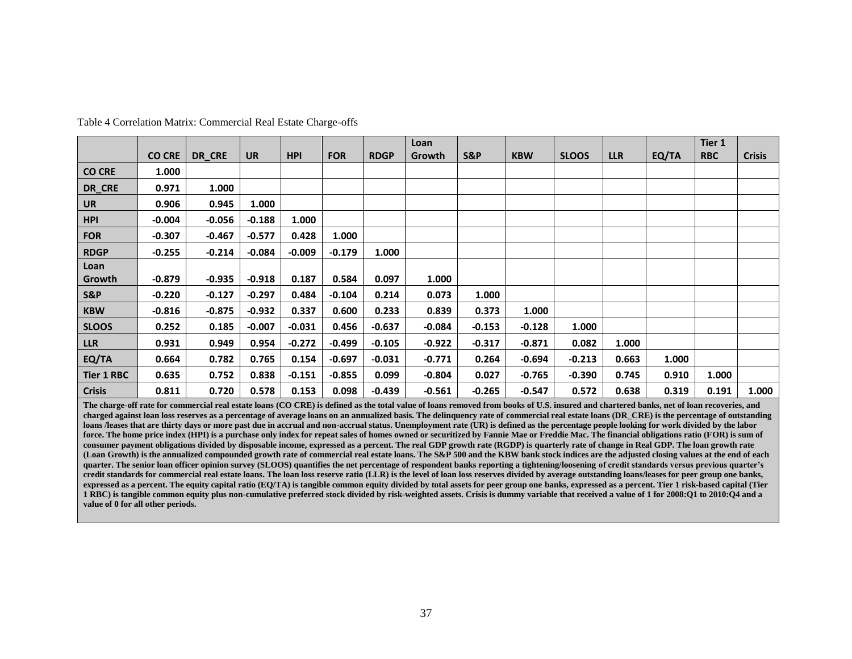|                   |               |          |           |            |            |             | Loan     |                |            |              |            |       | Tier 1     |               |
|-------------------|---------------|----------|-----------|------------|------------|-------------|----------|----------------|------------|--------------|------------|-------|------------|---------------|
|                   | <b>CO CRE</b> | DR_CRE   | <b>UR</b> | <b>HPI</b> | <b>FOR</b> | <b>RDGP</b> | Growth   | <b>S&amp;P</b> | <b>KBW</b> | <b>SLOOS</b> | <b>LLR</b> | EQ/TA | <b>RBC</b> | <b>Crisis</b> |
| <b>CO CRE</b>     | 1.000         |          |           |            |            |             |          |                |            |              |            |       |            |               |
| DR_CRE            | 0.971         | 1.000    |           |            |            |             |          |                |            |              |            |       |            |               |
| <b>UR</b>         | 0.906         | 0.945    | 1.000     |            |            |             |          |                |            |              |            |       |            |               |
| <b>HPI</b>        | $-0.004$      | $-0.056$ | $-0.188$  | 1.000      |            |             |          |                |            |              |            |       |            |               |
| <b>FOR</b>        | $-0.307$      | $-0.467$ | $-0.577$  | 0.428      | 1.000      |             |          |                |            |              |            |       |            |               |
| <b>RDGP</b>       | $-0.255$      | $-0.214$ | $-0.084$  | $-0.009$   | $-0.179$   | 1.000       |          |                |            |              |            |       |            |               |
| Loan              |               |          |           |            |            |             |          |                |            |              |            |       |            |               |
| Growth            | $-0.879$      | $-0.935$ | $-0.918$  | 0.187      | 0.584      | 0.097       | 1.000    |                |            |              |            |       |            |               |
| S&P               | $-0.220$      | $-0.127$ | $-0.297$  | 0.484      | $-0.104$   | 0.214       | 0.073    | 1.000          |            |              |            |       |            |               |
| <b>KBW</b>        | $-0.816$      | $-0.875$ | $-0.932$  | 0.337      | 0.600      | 0.233       | 0.839    | 0.373          | 1.000      |              |            |       |            |               |
| <b>SLOOS</b>      | 0.252         | 0.185    | $-0.007$  | $-0.031$   | 0.456      | $-0.637$    | $-0.084$ | $-0.153$       | $-0.128$   | 1.000        |            |       |            |               |
| <b>LLR</b>        | 0.931         | 0.949    | 0.954     | $-0.272$   | $-0.499$   | -0.105      | $-0.922$ | $-0.317$       | $-0.871$   | 0.082        | 1.000      |       |            |               |
| EQ/TA             | 0.664         | 0.782    | 0.765     | 0.154      | $-0.697$   | $-0.031$    | $-0.771$ | 0.264          | $-0.694$   | $-0.213$     | 0.663      | 1.000 |            |               |
| <b>Tier 1 RBC</b> | 0.635         | 0.752    | 0.838     | $-0.151$   | $-0.855$   | 0.099       | $-0.804$ | 0.027          | $-0.765$   | -0.390       | 0.745      | 0.910 | 1.000      |               |
| <b>Crisis</b>     | 0.811         | 0.720    | 0.578     | 0.153      | 0.098      | $-0.439$    | $-0.561$ | $-0.265$       | $-0.547$   | 0.572        | 0.638      | 0.319 | 0.191      | 1.000         |

Table 4 Correlation Matrix: Commercial Real Estate Charge-offs

<span id="page-44-0"></span>**The charge-off rate for commercial real estate loans (CO CRE) is defined as the total value of loans removed from books of U.S. insured and chartered banks, net of loan recoveries, and charged against loan loss reserves as a percentage of average loans on an annualized basis. The delinquency rate of commercial real estate loans (DR\_CRE) is the percentage of outstanding loans /leases that are thirty days or more past due in accrual and non-accrual status. Unemployment rate (UR) is defined as the percentage people looking for work divided by the labor**  force. The home price index (HPI) is a purchase only index for repeat sales of homes owned or securitized by Fannie Mae or Freddie Mac. The financial obligations ratio (FOR) is sum of **consumer payment obligations divided by disposable income, expressed as a percent. The real GDP growth rate (RGDP) is quarterly rate of change in Real GDP. The loan growth rate (Loan Growth) is the annualized compounded growth rate of commercial real estate loans. The S&P 500 and the KBW bank stock indices are the adjusted closing values at the end of each quarter. The senior loan officer opinion survey (SLOOS) quantifies the net percentage of respondent banks reporting a tightening/loosening of credit standards versus previous quarter's credit standards for commercial real estate loans. The loan loss reserve ratio (LLR) is the level of loan loss reserves divided by average outstanding loans/leases for peer group one banks, expressed as a percent. The equity capital ratio (EQ/TA) is tangible common equity divided by total assets for peer group one banks, expressed as a percent. Tier 1 risk-based capital (Tier 1 RBC) is tangible common equity plus non-cumulative preferred stock divided by risk-weighted assets. Crisis is dummy variable that received a value of 1 for 2008:Q1 to 2010:Q4 and a value of 0 for all other periods.**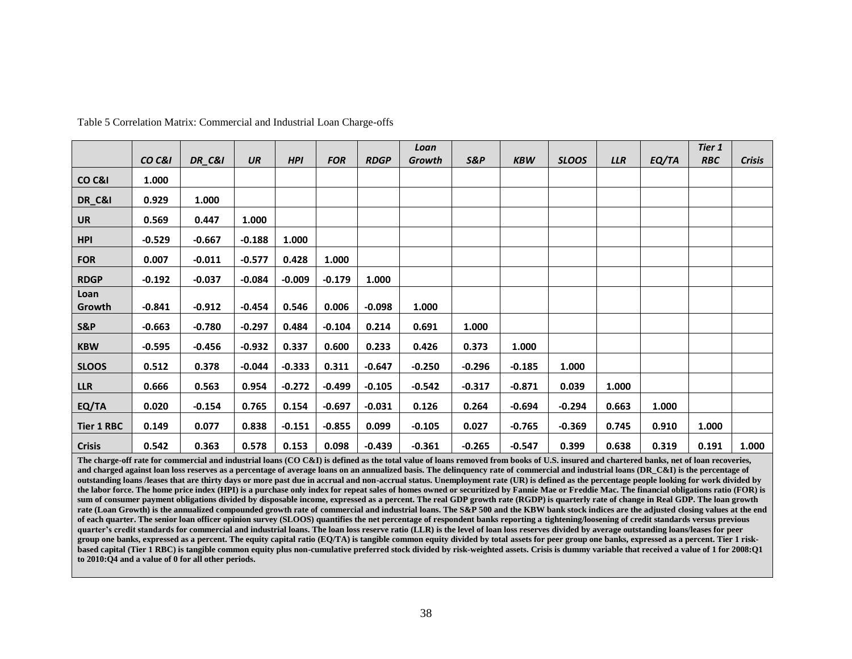|                    |          |                   |           |            |            |             | Loan     |          |            |              |            |       | Tier 1     |               |
|--------------------|----------|-------------------|-----------|------------|------------|-------------|----------|----------|------------|--------------|------------|-------|------------|---------------|
|                    | CO C&I   | <b>DR_C&amp;I</b> | <b>UR</b> | <b>HPI</b> | <b>FOR</b> | <b>RDGP</b> | Growth   | S&P      | <b>KBW</b> | <b>SLOOS</b> | <b>LLR</b> | EQ/TA | <b>RBC</b> | <b>Crisis</b> |
| CO <sub>C</sub> &I | 1.000    |                   |           |            |            |             |          |          |            |              |            |       |            |               |
| DR_C&I             | 0.929    | 1.000             |           |            |            |             |          |          |            |              |            |       |            |               |
| <b>UR</b>          | 0.569    | 0.447             | 1.000     |            |            |             |          |          |            |              |            |       |            |               |
| <b>HPI</b>         | $-0.529$ | $-0.667$          | $-0.188$  | 1.000      |            |             |          |          |            |              |            |       |            |               |
| <b>FOR</b>         | 0.007    | $-0.011$          | $-0.577$  | 0.428      | 1.000      |             |          |          |            |              |            |       |            |               |
| <b>RDGP</b>        | $-0.192$ | $-0.037$          | $-0.084$  | $-0.009$   | $-0.179$   | 1.000       |          |          |            |              |            |       |            |               |
| Loan               |          |                   |           |            |            |             |          |          |            |              |            |       |            |               |
| Growth             | $-0.841$ | $-0.912$          | $-0.454$  | 0.546      | 0.006      | $-0.098$    | 1.000    |          |            |              |            |       |            |               |
| S&P                | $-0.663$ | $-0.780$          | $-0.297$  | 0.484      | $-0.104$   | 0.214       | 0.691    | 1.000    |            |              |            |       |            |               |
| <b>KBW</b>         | $-0.595$ | $-0.456$          | $-0.932$  | 0.337      | 0.600      | 0.233       | 0.426    | 0.373    | 1.000      |              |            |       |            |               |
| <b>SLOOS</b>       | 0.512    | 0.378             | $-0.044$  | $-0.333$   | 0.311      | $-0.647$    | $-0.250$ | $-0.296$ | $-0.185$   | 1.000        |            |       |            |               |
| <b>LLR</b>         | 0.666    | 0.563             | 0.954     | $-0.272$   | $-0.499$   | $-0.105$    | $-0.542$ | $-0.317$ | $-0.871$   | 0.039        | 1.000      |       |            |               |
| EQ/TA              | 0.020    | $-0.154$          | 0.765     | 0.154      | $-0.697$   | $-0.031$    | 0.126    | 0.264    | $-0.694$   | $-0.294$     | 0.663      | 1.000 |            |               |
| <b>Tier 1 RBC</b>  | 0.149    | 0.077             | 0.838     | $-0.151$   | $-0.855$   | 0.099       | $-0.105$ | 0.027    | $-0.765$   | $-0.369$     | 0.745      | 0.910 | 1.000      |               |
| <b>Crisis</b>      | 0.542    | 0.363             | 0.578     | 0.153      | 0.098      | $-0.439$    | $-0.361$ | $-0.265$ | $-0.547$   | 0.399        | 0.638      | 0.319 | 0.191      | 1.000         |

Table 5 Correlation Matrix: Commercial and Industrial Loan Charge-offs

<span id="page-45-0"></span>**The charge-off rate for commercial and industrial loans (CO C&I) is defined as the total value of loans removed from books of U.S. insured and chartered banks, net of loan recoveries,**  and charged against loan loss reserves as a percentage of average loans on an annualized basis. The delinquency rate of commercial and industrial loans (DR\_C&I) is the percentage of **outstanding loans /leases that are thirty days or more past due in accrual and non-accrual status. Unemployment rate (UR) is defined as the percentage people looking for work divided by the labor force. The home price index (HPI) is a purchase only index for repeat sales of homes owned or securitized by Fannie Mae or Freddie Mac. The financial obligations ratio (FOR) is**  sum of consumer payment obligations divided by disposable income, expressed as a percent. The real GDP growth rate (RGDP) is quarterly rate of change in Real GDP. The loan growth **rate (Loan Growth) is the annualized compounded growth rate of commercial and industrial loans. The S&P 500 and the KBW bank stock indices are the adjusted closing values at the end of each quarter. The senior loan officer opinion survey (SLOOS) quantifies the net percentage of respondent banks reporting a tightening/loosening of credit standards versus previous quarter's credit standards for commercial and industrial loans. The loan loss reserve ratio (LLR) is the level of loan loss reserves divided by average outstanding loans/leases for peer group one banks, expressed as a percent. The equity capital ratio (EQ/TA) is tangible common equity divided by total assets for peer group one banks, expressed as a percent. Tier 1 risk**based capital (Tier 1 RBC) is tangible common equity plus non-cumulative preferred stock divided by risk-weighted assets. Crisis is dummy variable that received a value of 1 for 2008:O1 **to 2010:Q4 and a value of 0 for all other periods.**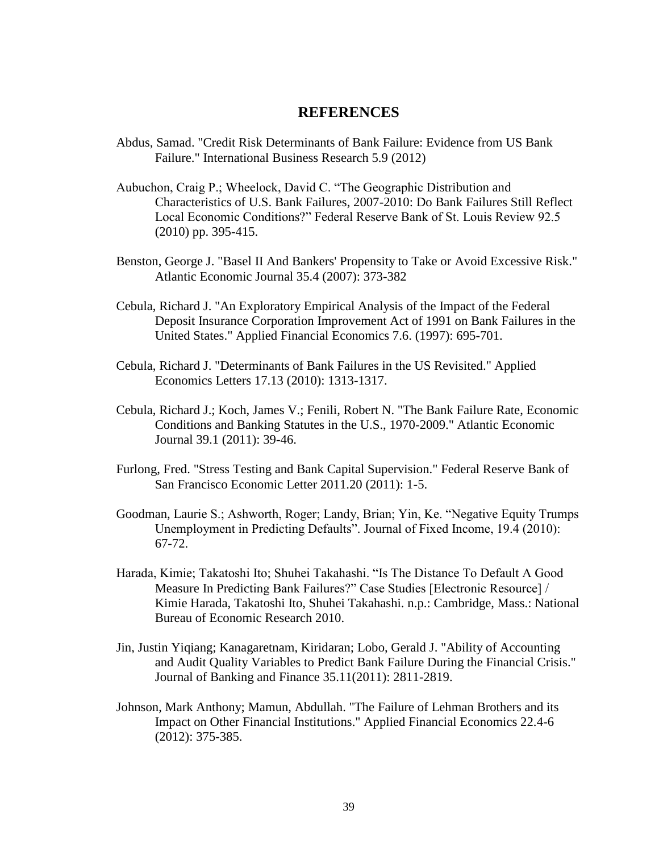## **REFERENCES**

- <span id="page-46-0"></span>Abdus, Samad. "Credit Risk Determinants of Bank Failure: Evidence from US Bank Failure." International Business Research 5.9 (2012)
- Aubuchon, Craig P.; Wheelock, David C. "The Geographic Distribution and Characteristics of U.S. Bank Failures, 2007-2010: Do Bank Failures Still Reflect Local Economic Conditions?" Federal Reserve Bank of St. Louis Review 92.5 (2010) pp. 395-415.
- Benston, George J. "Basel II And Bankers' Propensity to Take or Avoid Excessive Risk." Atlantic Economic Journal 35.4 (2007): 373-382
- Cebula, Richard J. "An Exploratory Empirical Analysis of the Impact of the Federal Deposit Insurance Corporation Improvement Act of 1991 on Bank Failures in the United States." Applied Financial Economics 7.6. (1997): 695-701.
- Cebula, Richard J. "Determinants of Bank Failures in the US Revisited." Applied Economics Letters 17.13 (2010): 1313-1317.
- Cebula, Richard J.; Koch, James V.; Fenili, Robert N. "The Bank Failure Rate, Economic Conditions and Banking Statutes in the U.S., 1970-2009." Atlantic Economic Journal 39.1 (2011): 39-46.
- Furlong, Fred. "Stress Testing and Bank Capital Supervision." Federal Reserve Bank of San Francisco Economic Letter 2011.20 (2011): 1-5.
- Goodman, Laurie S.; Ashworth, Roger; Landy, Brian; Yin, Ke. "Negative Equity Trumps Unemployment in Predicting Defaults". Journal of Fixed Income, 19.4 (2010): 67-72.
- Harada, Kimie; Takatoshi Ito; Shuhei Takahashi. "Is The Distance To Default A Good Measure In Predicting Bank Failures?" Case Studies [Electronic Resource] / Kimie Harada, Takatoshi Ito, Shuhei Takahashi. n.p.: Cambridge, Mass.: National Bureau of Economic Research 2010.
- Jin, Justin Yiqiang; Kanagaretnam, Kiridaran; Lobo, Gerald J. "Ability of Accounting and Audit Quality Variables to Predict Bank Failure During the Financial Crisis." Journal of Banking and Finance 35.11(2011): 2811-2819.
- Johnson, Mark Anthony; Mamun, Abdullah. "The Failure of Lehman Brothers and its Impact on Other Financial Institutions." Applied Financial Economics 22.4-6 (2012): 375-385.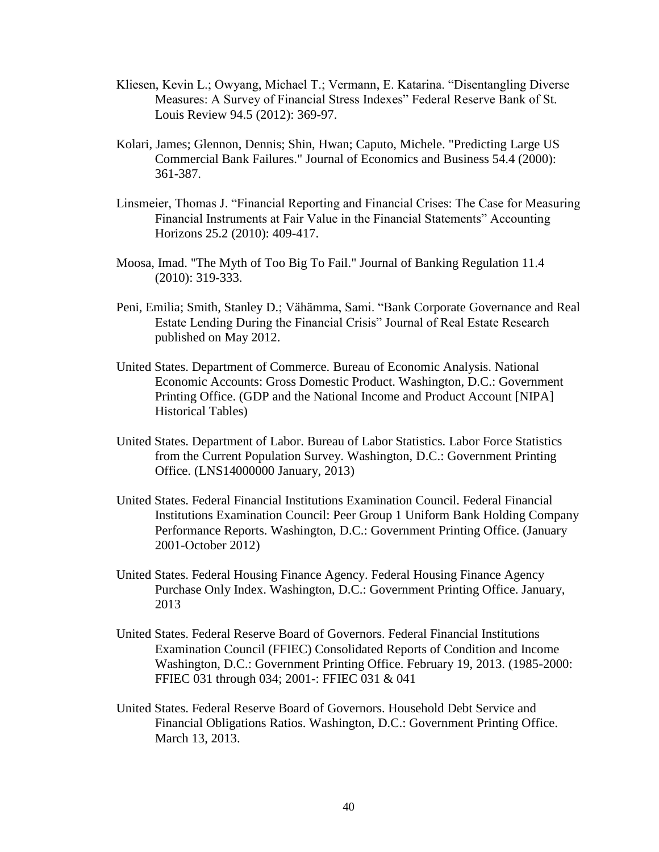- Kliesen, Kevin L.; Owyang, Michael T.; Vermann, E. Katarina. "Disentangling Diverse Measures: A Survey of Financial Stress Indexes" Federal Reserve Bank of St. Louis Review 94.5 (2012): 369-97.
- Kolari, James; Glennon, Dennis; Shin, Hwan; Caputo, Michele. "Predicting Large US Commercial Bank Failures." Journal of Economics and Business 54.4 (2000): 361-387.
- Linsmeier, Thomas J. "Financial Reporting and Financial Crises: The Case for Measuring Financial Instruments at Fair Value in the Financial Statements" Accounting Horizons 25.2 (2010): 409-417.
- Moosa, Imad. "The Myth of Too Big To Fail." Journal of Banking Regulation 11.4 (2010): 319-333.
- Peni, Emilia; Smith, Stanley D.; Vähämma, Sami. "Bank Corporate Governance and Real Estate Lending During the Financial Crisis" Journal of Real Estate Research published on May 2012.
- United States. Department of Commerce. Bureau of Economic Analysis. National Economic Accounts: Gross Domestic Product. Washington, D.C.: Government Printing Office. (GDP and the National Income and Product Account [NIPA] Historical Tables)
- United States. Department of Labor. Bureau of Labor Statistics. Labor Force Statistics from the Current Population Survey. Washington, D.C.: Government Printing Office. (LNS14000000 January, 2013)
- United States. Federal Financial Institutions Examination Council. Federal Financial Institutions Examination Council: Peer Group 1 Uniform Bank Holding Company Performance Reports. Washington, D.C.: Government Printing Office. (January 2001-October 2012)
- United States. Federal Housing Finance Agency. Federal Housing Finance Agency Purchase Only Index. Washington, D.C.: Government Printing Office. January, 2013
- United States. Federal Reserve Board of Governors. Federal Financial Institutions Examination Council (FFIEC) Consolidated Reports of Condition and Income Washington, D.C.: Government Printing Office. February 19, 2013. (1985-2000: FFIEC 031 through 034; 2001-: FFIEC 031 & 041
- United States. Federal Reserve Board of Governors. Household Debt Service and Financial Obligations Ratios. Washington, D.C.: Government Printing Office. March 13, 2013.